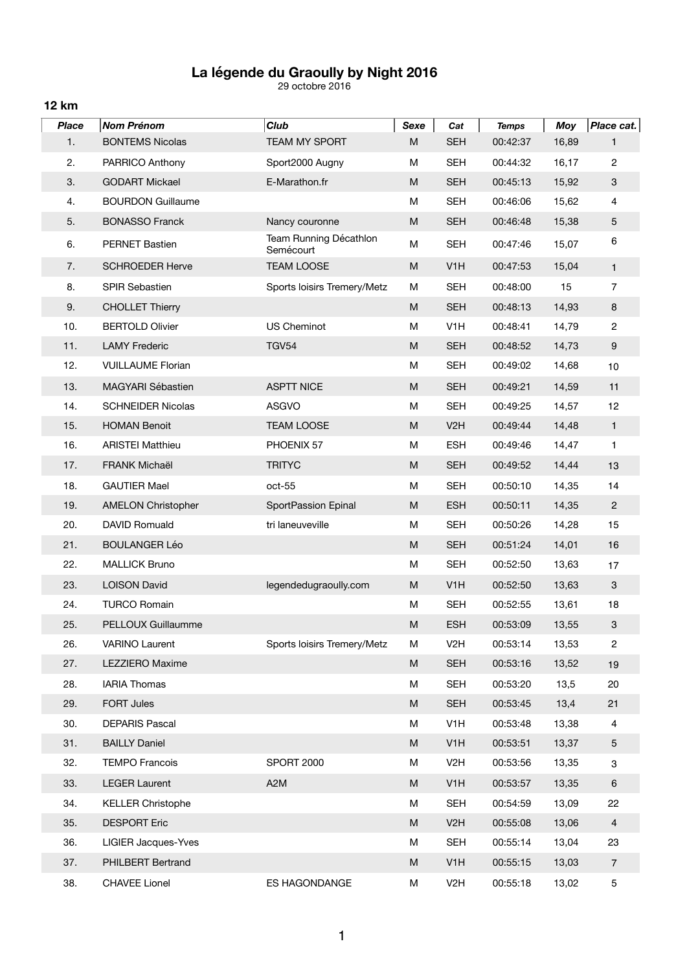## **La légende du Graoully by Night 2016**

29 octobre 2016

**12 km**

| <b>Place</b> | <b>Nom Prénom</b>         | <b>Club</b>                         | Sexe                                                                                                       | Cat              | <b>Temps</b> | <b>Moy</b> | Place cat.                |
|--------------|---------------------------|-------------------------------------|------------------------------------------------------------------------------------------------------------|------------------|--------------|------------|---------------------------|
| 1.           | <b>BONTEMS Nicolas</b>    | <b>TEAM MY SPORT</b>                | M                                                                                                          | <b>SEH</b>       | 00:42:37     | 16,89      | 1                         |
| 2.           | PARRICO Anthony           | Sport2000 Augny                     | M                                                                                                          | <b>SEH</b>       | 00:44:32     | 16,17      | $\overline{c}$            |
| 3.           | <b>GODART Mickael</b>     | E-Marathon.fr                       | M                                                                                                          | <b>SEH</b>       | 00:45:13     | 15,92      | 3                         |
| 4.           | <b>BOURDON Guillaume</b>  |                                     | M                                                                                                          | <b>SEH</b>       | 00:46:06     | 15,62      | 4                         |
| 5.           | <b>BONASSO Franck</b>     | Nancy couronne                      | M                                                                                                          | <b>SEH</b>       | 00:46:48     | 15,38      | 5                         |
| 6.           | <b>PERNET Bastien</b>     | Team Running Décathlon<br>Semécourt | M                                                                                                          | <b>SEH</b>       | 00:47:46     | 15,07      | 6                         |
| 7.           | <b>SCHROEDER Herve</b>    | <b>TEAM LOOSE</b>                   | M                                                                                                          | V <sub>1</sub> H | 00:47:53     | 15,04      | $\mathbf{1}$              |
| 8.           | <b>SPIR Sebastien</b>     | Sports loisirs Tremery/Metz         | M                                                                                                          | <b>SEH</b>       | 00:48:00     | 15         | $\overline{7}$            |
| 9.           | <b>CHOLLET Thierry</b>    |                                     | M                                                                                                          | <b>SEH</b>       | 00:48:13     | 14,93      | $\bf 8$                   |
| 10.          | <b>BERTOLD Olivier</b>    | <b>US Cheminot</b>                  | M                                                                                                          | V <sub>1</sub> H | 00:48:41     | 14,79      | $\overline{c}$            |
| 11.          | <b>LAMY Frederic</b>      | <b>TGV54</b>                        | M                                                                                                          | <b>SEH</b>       | 00:48:52     | 14,73      | $\boldsymbol{9}$          |
| 12.          | <b>VUILLAUME Florian</b>  |                                     | M                                                                                                          | <b>SEH</b>       | 00:49:02     | 14,68      | 10                        |
| 13.          | MAGYARI Sébastien         | <b>ASPTT NICE</b>                   | M                                                                                                          | <b>SEH</b>       | 00:49:21     | 14,59      | 11                        |
| 14.          | <b>SCHNEIDER Nicolas</b>  | <b>ASGVO</b>                        | M                                                                                                          | <b>SEH</b>       | 00:49:25     | 14,57      | 12                        |
| 15.          | <b>HOMAN Benoit</b>       | <b>TEAM LOOSE</b>                   | M                                                                                                          | V <sub>2</sub> H | 00:49:44     | 14,48      | $\mathbf{1}$              |
| 16.          | <b>ARISTEI Matthieu</b>   | PHOENIX 57                          | M                                                                                                          | <b>ESH</b>       | 00:49:46     | 14,47      | 1                         |
| 17.          | <b>FRANK Michaël</b>      | <b>TRITYC</b>                       | M                                                                                                          | <b>SEH</b>       | 00:49:52     | 14,44      | 13                        |
| 18.          | <b>GAUTIER Mael</b>       | oct-55                              | M                                                                                                          | <b>SEH</b>       | 00:50:10     | 14,35      | 14                        |
| 19.          | <b>AMELON Christopher</b> | SportPassion Epinal                 | M                                                                                                          | <b>ESH</b>       | 00:50:11     | 14,35      | $\sqrt{2}$                |
| 20.          | DAVID Romuald             | tri laneuveville                    | M                                                                                                          | <b>SEH</b>       | 00:50:26     | 14,28      | 15                        |
| 21.          | <b>BOULANGER Léo</b>      |                                     | M                                                                                                          | <b>SEH</b>       | 00:51:24     | 14,01      | 16                        |
| 22.          | <b>MALLICK Bruno</b>      |                                     | M                                                                                                          | <b>SEH</b>       | 00:52:50     | 13,63      | 17                        |
| 23.          | <b>LOISON David</b>       | legendedugraoully.com               | M                                                                                                          | V <sub>1</sub> H | 00:52:50     | 13,63      | 3                         |
| 24.          | <b>TURCO Romain</b>       |                                     | M                                                                                                          | <b>SEH</b>       | 00:52:55     | 13,61      | 18                        |
| 25.          | <b>PELLOUX Guillaumme</b> |                                     | M                                                                                                          | <b>ESH</b>       | 00:53:09     | 13,55      | $\ensuremath{\mathsf{3}}$ |
| 26.          | <b>VARINO Laurent</b>     | Sports loisirs Tremery/Metz         | M                                                                                                          | V <sub>2</sub> H | 00:53:14     | 13,53      | $\overline{2}$            |
| 27.          | LEZZIERO Maxime           |                                     | ${\sf M}$                                                                                                  | <b>SEH</b>       | 00:53:16     | 13,52      | 19                        |
| 28.          | <b>IARIA Thomas</b>       |                                     | M                                                                                                          | <b>SEH</b>       | 00:53:20     | 13,5       | 20                        |
| 29.          | FORT Jules                |                                     | ${\sf M}$                                                                                                  | <b>SEH</b>       | 00:53:45     | 13,4       | 21                        |
| 30.          | <b>DEPARIS Pascal</b>     |                                     | M                                                                                                          | V <sub>1</sub> H | 00:53:48     | 13,38      | 4                         |
| 31.          | <b>BAILLY Daniel</b>      |                                     | ${\sf M}$                                                                                                  | V <sub>1</sub> H | 00:53:51     | 13,37      | 5                         |
| 32.          | <b>TEMPO Francois</b>     | <b>SPORT 2000</b>                   | M                                                                                                          | V <sub>2</sub> H | 00:53:56     | 13,35      | 3                         |
| 33.          | <b>LEGER Laurent</b>      | A <sub>2</sub> M                    | $\mathsf{M}% _{T}=\mathsf{M}_{T}\!\left( a,b\right) ,\ \mathsf{M}_{T}=\mathsf{M}_{T}\!\left( a,b\right) ,$ | V <sub>1</sub> H | 00:53:57     | 13,35      | $\,6\,$                   |
| 34.          | <b>KELLER Christophe</b>  |                                     | M                                                                                                          | <b>SEH</b>       | 00:54:59     | 13,09      | 22                        |
| 35.          | <b>DESPORT Eric</b>       |                                     | ${\sf M}$                                                                                                  | V <sub>2</sub> H | 00:55:08     | 13,06      | $\overline{4}$            |
| 36.          | LIGIER Jacques-Yves       |                                     | М                                                                                                          | <b>SEH</b>       | 00:55:14     | 13,04      | 23                        |
| 37.          | PHILBERT Bertrand         |                                     | M                                                                                                          | V <sub>1</sub> H | 00:55:15     | 13,03      | $\overline{7}$            |
| 38.          | <b>CHAVEE Lionel</b>      | ES HAGONDANGE                       | М                                                                                                          | V <sub>2</sub> H | 00:55:18     | 13,02      | 5                         |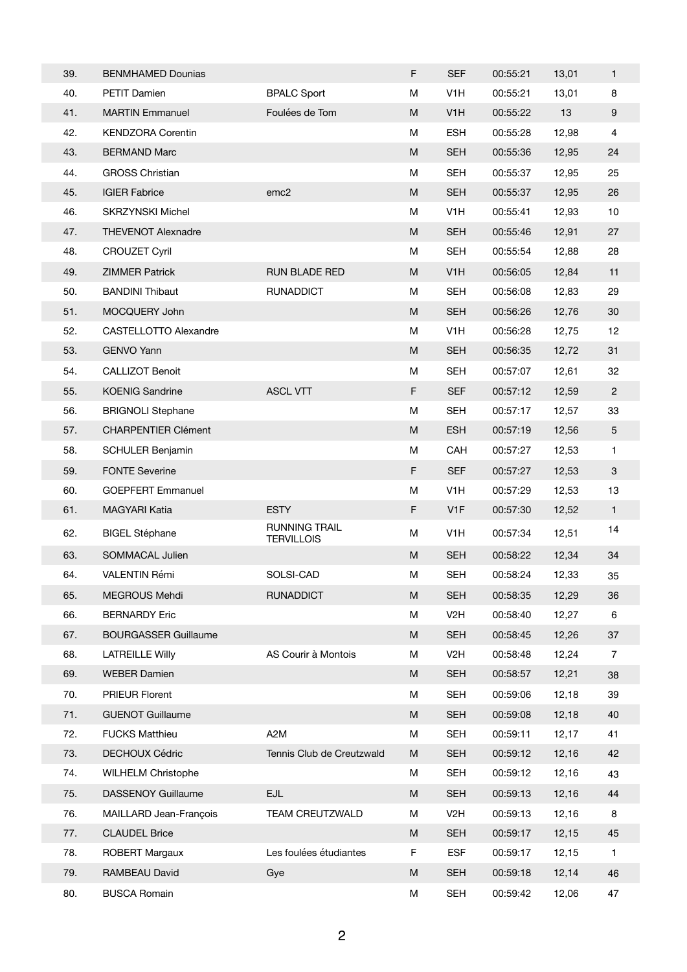| 39. | <b>BENMHAMED Dounias</b>     |                                           | F           | <b>SEF</b>       | 00:55:21 | 13,01 | 1                         |
|-----|------------------------------|-------------------------------------------|-------------|------------------|----------|-------|---------------------------|
| 40. | <b>PETIT Damien</b>          | <b>BPALC Sport</b>                        | M           | V <sub>1</sub> H | 00:55:21 | 13,01 | 8                         |
| 41. | <b>MARTIN Emmanuel</b>       | Foulées de Tom                            | M           | V <sub>1</sub> H | 00:55:22 | 13    | $\boldsymbol{9}$          |
| 42. | <b>KENDZORA Corentin</b>     |                                           | M           | <b>ESH</b>       | 00:55:28 | 12,98 | $\overline{4}$            |
| 43. | <b>BERMAND Marc</b>          |                                           | M           | <b>SEH</b>       | 00:55:36 | 12,95 | 24                        |
| 44. | <b>GROSS Christian</b>       |                                           | M           | <b>SEH</b>       | 00:55:37 | 12,95 | 25                        |
| 45. | <b>IGIER Fabrice</b>         | emc <sub>2</sub>                          | M           | <b>SEH</b>       | 00:55:37 | 12,95 | 26                        |
| 46. | <b>SKRZYNSKI Michel</b>      |                                           | M           | V <sub>1</sub> H | 00:55:41 | 12,93 | 10                        |
| 47. | <b>THEVENOT Alexnadre</b>    |                                           | M           | <b>SEH</b>       | 00:55:46 | 12,91 | 27                        |
| 48. | <b>CROUZET Cyril</b>         |                                           | M           | <b>SEH</b>       | 00:55:54 | 12,88 | 28                        |
| 49. | <b>ZIMMER Patrick</b>        | <b>RUN BLADE RED</b>                      | M           | V <sub>1</sub> H | 00:56:05 | 12,84 | 11                        |
| 50. | <b>BANDINI Thibaut</b>       | <b>RUNADDICT</b>                          | M           | <b>SEH</b>       | 00:56:08 | 12,83 | 29                        |
| 51. | MOCQUERY John                |                                           | M           | <b>SEH</b>       | 00:56:26 | 12,76 | 30                        |
| 52. | <b>CASTELLOTTO Alexandre</b> |                                           | M           | V <sub>1</sub> H | 00:56:28 | 12,75 | 12                        |
| 53. | <b>GENVO Yann</b>            |                                           | M           | <b>SEH</b>       | 00:56:35 | 12,72 | 31                        |
| 54. | <b>CALLIZOT Benoit</b>       |                                           | М           | <b>SEH</b>       | 00:57:07 | 12,61 | 32                        |
| 55. | <b>KOENIG Sandrine</b>       | <b>ASCL VTT</b>                           | F           | <b>SEF</b>       | 00:57:12 | 12,59 | $\overline{2}$            |
| 56. | <b>BRIGNOLI Stephane</b>     |                                           | M           | <b>SEH</b>       | 00:57:17 | 12,57 | 33                        |
| 57. | <b>CHARPENTIER Clément</b>   |                                           | M           | <b>ESH</b>       | 00:57:19 | 12,56 | $\overline{5}$            |
| 58. | <b>SCHULER Benjamin</b>      |                                           | M           | CAH              | 00:57:27 | 12,53 | 1                         |
| 59. | <b>FONTE Severine</b>        |                                           | $\mathsf F$ | <b>SEF</b>       | 00:57:27 | 12,53 | $\ensuremath{\mathsf{3}}$ |
| 60. | <b>GOEPFERT Emmanuel</b>     |                                           | М           | V <sub>1</sub> H | 00:57:29 | 12,53 | 13                        |
| 61. | <b>MAGYARI Katia</b>         | <b>ESTY</b>                               | F           | V <sub>1</sub> F | 00:57:30 | 12,52 | $\mathbf{1}$              |
| 62. | <b>BIGEL Stéphane</b>        | <b>RUNNING TRAIL</b><br><b>TERVILLOIS</b> | M           | V <sub>1</sub> H | 00:57:34 | 12,51 | 14                        |
| 63. | SOMMACAL Julien              |                                           | M           | <b>SEH</b>       | 00:58:22 | 12,34 | 34                        |
| 64. | <b>VALENTIN Rémi</b>         | SOLSI-CAD                                 | M           | <b>SEH</b>       | 00:58:24 | 12,33 | 35                        |
| 65. | MEGROUS Mehdi                | <b>RUNADDICT</b>                          | M           | <b>SEH</b>       | 00:58:35 | 12,29 | 36                        |
| 66. | <b>BERNARDY Eric</b>         |                                           | M           | V <sub>2</sub> H | 00:58:40 | 12,27 | 6                         |
| 67. | <b>BOURGASSER Guillaume</b>  |                                           | M           | <b>SEH</b>       | 00:58:45 | 12,26 | 37                        |
| 68. | <b>LATREILLE Willy</b>       | AS Courir à Montois                       | М           | V <sub>2</sub> H | 00:58:48 | 12,24 | 7                         |
| 69. | <b>WEBER Damien</b>          |                                           | M           | <b>SEH</b>       | 00:58:57 | 12,21 | 38                        |
| 70. | <b>PRIEUR Florent</b>        |                                           | M           | <b>SEH</b>       | 00:59:06 | 12,18 | 39                        |
| 71. | <b>GUENOT Guillaume</b>      |                                           | M           | <b>SEH</b>       | 00:59:08 | 12,18 | 40                        |
| 72. | <b>FUCKS Matthieu</b>        | A <sub>2</sub> M                          | M           | <b>SEH</b>       | 00:59:11 | 12,17 | 41                        |
| 73. | DECHOUX Cédric               | Tennis Club de Creutzwald                 | M           | <b>SEH</b>       | 00:59:12 | 12,16 | 42                        |
| 74. | <b>WILHELM Christophe</b>    |                                           | M           | <b>SEH</b>       | 00:59:12 | 12,16 | 43                        |
| 75. | <b>DASSENOY Guillaume</b>    | EJL                                       | M           | <b>SEH</b>       | 00:59:13 | 12,16 | 44                        |
| 76. | MAILLARD Jean-François       | <b>TEAM CREUTZWALD</b>                    | М           | V <sub>2</sub> H | 00:59:13 | 12,16 | 8                         |
| 77. | <b>CLAUDEL Brice</b>         |                                           | M           | <b>SEH</b>       | 00:59:17 | 12,15 | 45                        |
| 78. | ROBERT Margaux               | Les foulées étudiantes                    | F           | ESF              | 00:59:17 | 12,15 | $\mathbf{1}$              |
| 79. | RAMBEAU David                | Gye                                       | M           | <b>SEH</b>       | 00:59:18 | 12,14 | 46                        |
| 80. | <b>BUSCA Romain</b>          |                                           | М           | <b>SEH</b>       | 00:59:42 | 12,06 | 47                        |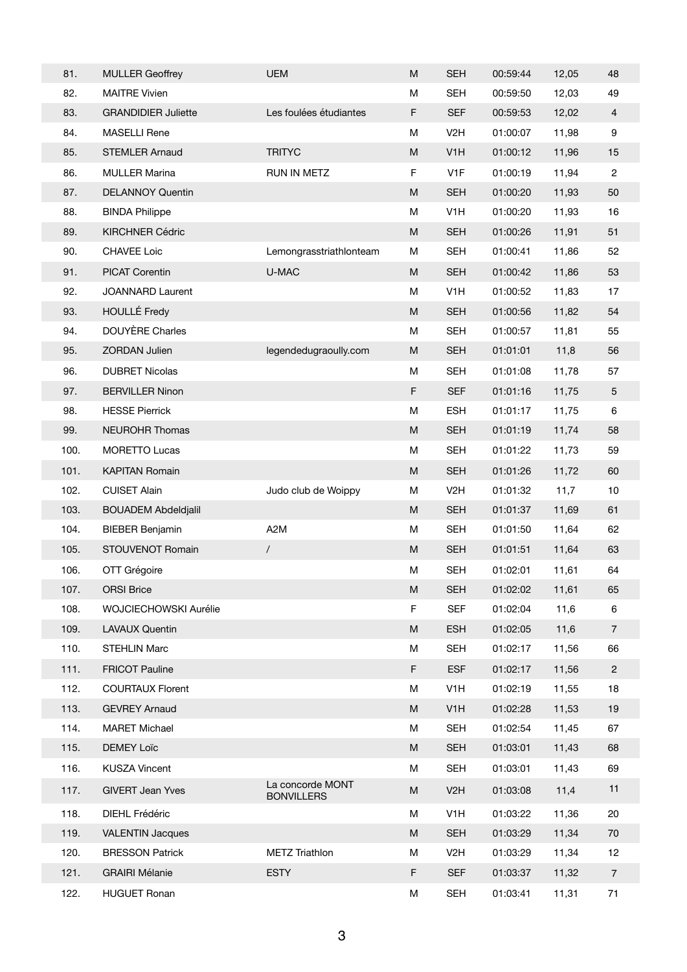| 81.  | <b>MULLER Geoffrey</b>     | <b>UEM</b>                            | M                                                                                                          | <b>SEH</b>       | 00:59:44 | 12,05 | 48               |
|------|----------------------------|---------------------------------------|------------------------------------------------------------------------------------------------------------|------------------|----------|-------|------------------|
| 82.  | <b>MAITRE Vivien</b>       |                                       | M                                                                                                          | <b>SEH</b>       | 00:59:50 | 12,03 | 49               |
| 83.  | <b>GRANDIDIER Juliette</b> | Les foulées étudiantes                | F                                                                                                          | <b>SEF</b>       | 00:59:53 | 12,02 | $\overline{4}$   |
| 84.  | <b>MASELLI Rene</b>        |                                       | M                                                                                                          | V <sub>2</sub> H | 01:00:07 | 11,98 | $\boldsymbol{9}$ |
| 85.  | <b>STEMLER Arnaud</b>      | <b>TRITYC</b>                         | $\mathsf{M}% _{T}=\mathsf{M}_{T}\!\left( a,b\right) ,\ \mathsf{M}_{T}=\mathsf{M}_{T}\!\left( a,b\right) ,$ | V <sub>1</sub> H | 01:00:12 | 11,96 | 15               |
| 86.  | <b>MULLER Marina</b>       | RUN IN METZ                           | F                                                                                                          | V <sub>1</sub> F | 01:00:19 | 11,94 | $\overline{2}$   |
| 87.  | <b>DELANNOY Quentin</b>    |                                       | ${\sf M}$                                                                                                  | <b>SEH</b>       | 01:00:20 | 11,93 | $50\,$           |
| 88.  | <b>BINDA Philippe</b>      |                                       | M                                                                                                          | V <sub>1</sub> H | 01:00:20 | 11,93 | 16               |
| 89.  | <b>KIRCHNER Cédric</b>     |                                       | M                                                                                                          | <b>SEH</b>       | 01:00:26 | 11,91 | 51               |
| 90.  | <b>CHAVEE Loic</b>         | Lemongrasstriathlonteam               | M                                                                                                          | <b>SEH</b>       | 01:00:41 | 11,86 | 52               |
| 91.  | <b>PICAT Corentin</b>      | U-MAC                                 | ${\sf M}$                                                                                                  | <b>SEH</b>       | 01:00:42 | 11,86 | 53               |
| 92.  | <b>JOANNARD Laurent</b>    |                                       | M                                                                                                          | V <sub>1</sub> H | 01:00:52 | 11,83 | 17               |
| 93.  | <b>HOULLÉ Fredy</b>        |                                       | $\mathsf{M}% _{T}=\mathsf{M}_{T}\!\left( a,b\right) ,\ \mathsf{M}_{T}=\mathsf{M}_{T}\!\left( a,b\right) ,$ | <b>SEH</b>       | 01:00:56 | 11,82 | 54               |
| 94.  | DOUYÈRE Charles            |                                       | M                                                                                                          | <b>SEH</b>       | 01:00:57 | 11,81 | 55               |
| 95.  | ZORDAN Julien              | legendedugraoully.com                 | M                                                                                                          | <b>SEH</b>       | 01:01:01 | 11,8  | 56               |
| 96.  | <b>DUBRET Nicolas</b>      |                                       | M                                                                                                          | <b>SEH</b>       | 01:01:08 | 11,78 | 57               |
| 97.  | <b>BERVILLER Ninon</b>     |                                       | F                                                                                                          | <b>SEF</b>       | 01:01:16 | 11,75 | $\overline{5}$   |
| 98.  | <b>HESSE Pierrick</b>      |                                       | M                                                                                                          | <b>ESH</b>       | 01:01:17 | 11,75 | $\,6\,$          |
| 99.  | <b>NEUROHR Thomas</b>      |                                       | ${\sf M}$                                                                                                  | <b>SEH</b>       | 01:01:19 | 11,74 | 58               |
| 100. | <b>MORETTO Lucas</b>       |                                       | M                                                                                                          | <b>SEH</b>       | 01:01:22 | 11,73 | 59               |
| 101. | <b>KAPITAN Romain</b>      |                                       | $\mathsf{M}% _{T}=\mathsf{M}_{T}\!\left( a,b\right) ,\ \mathsf{M}_{T}=\mathsf{M}_{T}\!\left( a,b\right) ,$ | <b>SEH</b>       | 01:01:26 | 11,72 | 60               |
| 102. | <b>CUISET Alain</b>        | Judo club de Woippy                   | M                                                                                                          | V <sub>2</sub> H | 01:01:32 | 11,7  | $10$             |
| 103. | <b>BOUADEM Abdeldjalil</b> |                                       | ${\sf M}$                                                                                                  | <b>SEH</b>       | 01:01:37 | 11,69 | 61               |
| 104. | <b>BIEBER Benjamin</b>     | A <sub>2</sub> M                      | М                                                                                                          | <b>SEH</b>       | 01:01:50 | 11,64 | 62               |
| 105. | STOUVENOT Romain           | $\sqrt{2}$                            | ${\sf M}$                                                                                                  | <b>SEH</b>       | 01:01:51 | 11,64 | 63               |
| 106. | OTT Grégoire               |                                       | M                                                                                                          | <b>SEH</b>       | 01:02:01 | 11,61 | 64               |
| 107. | <b>ORSI Brice</b>          |                                       | ${\sf M}$                                                                                                  | <b>SEH</b>       | 01:02:02 | 11,61 | 65               |
| 108. | WOJCIECHOWSKI Aurélie      |                                       | F                                                                                                          | <b>SEF</b>       | 01:02:04 | 11,6  | 6                |
| 109. | <b>LAVAUX Quentin</b>      |                                       | ${\sf M}$                                                                                                  | <b>ESH</b>       | 01:02:05 | 11,6  | $\overline{7}$   |
| 110. | <b>STEHLIN Marc</b>        |                                       | M                                                                                                          | <b>SEH</b>       | 01:02:17 | 11,56 | 66               |
| 111. | <b>FRICOT Pauline</b>      |                                       | F                                                                                                          | <b>ESF</b>       | 01:02:17 | 11,56 | $\sqrt{2}$       |
| 112. | <b>COURTAUX Florent</b>    |                                       | М                                                                                                          | V <sub>1</sub> H | 01:02:19 | 11,55 | 18               |
| 113. | <b>GEVREY Arnaud</b>       |                                       | ${\sf M}$                                                                                                  | V <sub>1</sub> H | 01:02:28 | 11,53 | $19$             |
| 114. | <b>MARET Michael</b>       |                                       | M                                                                                                          | <b>SEH</b>       | 01:02:54 | 11,45 | 67               |
| 115. | <b>DEMEY Loïc</b>          |                                       | $\mathsf{M}% _{T}=\mathsf{M}_{T}\!\left( a,b\right) ,\ \mathsf{M}_{T}=\mathsf{M}_{T}\!\left( a,b\right) ,$ | <b>SEH</b>       | 01:03:01 | 11,43 | 68               |
| 116. | <b>KUSZA Vincent</b>       |                                       | M                                                                                                          | <b>SEH</b>       | 01:03:01 | 11,43 | 69               |
| 117. | <b>GIVERT Jean Yves</b>    | La concorde MONT<br><b>BONVILLERS</b> | ${\sf M}$                                                                                                  | V <sub>2</sub> H | 01:03:08 | 11,4  | 11               |
| 118. | DIEHL Frédéric             |                                       | M                                                                                                          | V <sub>1</sub> H | 01:03:22 | 11,36 | 20               |
| 119. | <b>VALENTIN Jacques</b>    |                                       | ${\sf M}$                                                                                                  | <b>SEH</b>       | 01:03:29 | 11,34 | 70               |
| 120. | <b>BRESSON Patrick</b>     | <b>METZ Triathlon</b>                 | M                                                                                                          | V <sub>2</sub> H | 01:03:29 | 11,34 | 12               |
| 121. | <b>GRAIRI Mélanie</b>      | <b>ESTY</b>                           | F                                                                                                          | <b>SEF</b>       | 01:03:37 | 11,32 | $\overline{7}$   |
| 122. | <b>HUGUET Ronan</b>        |                                       | M                                                                                                          | <b>SEH</b>       | 01:03:41 | 11,31 | $71$             |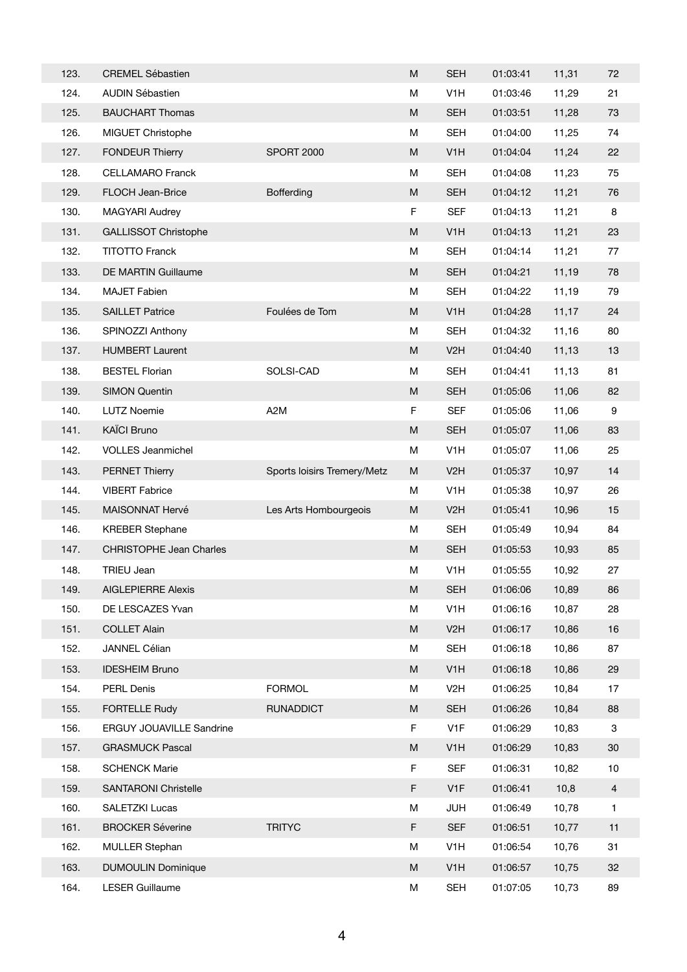| 123. | <b>CREMEL Sébastien</b>        |                             | M                                                                                                          | <b>SEH</b>       | 01:03:41 | 11,31 | 72             |
|------|--------------------------------|-----------------------------|------------------------------------------------------------------------------------------------------------|------------------|----------|-------|----------------|
| 124. | <b>AUDIN Sébastien</b>         |                             | M                                                                                                          | V <sub>1</sub> H | 01:03:46 | 11,29 | 21             |
| 125. | <b>BAUCHART Thomas</b>         |                             | M                                                                                                          | <b>SEH</b>       | 01:03:51 | 11,28 | 73             |
| 126. | MIGUET Christophe              |                             | M                                                                                                          | <b>SEH</b>       | 01:04:00 | 11,25 | 74             |
| 127. | <b>FONDEUR Thierry</b>         | <b>SPORT 2000</b>           | ${\sf M}$                                                                                                  | V <sub>1</sub> H | 01:04:04 | 11,24 | 22             |
| 128. | <b>CELLAMARO Franck</b>        |                             | M                                                                                                          | <b>SEH</b>       | 01:04:08 | 11,23 | 75             |
| 129. | FLOCH Jean-Brice               | <b>Bofferding</b>           | M                                                                                                          | <b>SEH</b>       | 01:04:12 | 11,21 | 76             |
| 130. | <b>MAGYARI Audrey</b>          |                             | F                                                                                                          | <b>SEF</b>       | 01:04:13 | 11,21 | 8              |
| 131. | <b>GALLISSOT Christophe</b>    |                             | ${\sf M}$                                                                                                  | V <sub>1</sub> H | 01:04:13 | 11,21 | 23             |
| 132. | <b>TITOTTO Franck</b>          |                             | М                                                                                                          | <b>SEH</b>       | 01:04:14 | 11,21 | 77             |
| 133. | DE MARTIN Guillaume            |                             | M                                                                                                          | <b>SEH</b>       | 01:04:21 | 11,19 | 78             |
| 134. | <b>MAJET Fabien</b>            |                             | M                                                                                                          | <b>SEH</b>       | 01:04:22 | 11,19 | 79             |
| 135. | <b>SAILLET Patrice</b>         | Foulées de Tom              | ${\sf M}$                                                                                                  | V <sub>1</sub> H | 01:04:28 | 11,17 | 24             |
| 136. | SPINOZZI Anthony               |                             | М                                                                                                          | <b>SEH</b>       | 01:04:32 | 11,16 | 80             |
| 137. | <b>HUMBERT Laurent</b>         |                             | ${\sf M}$                                                                                                  | V <sub>2</sub> H | 01:04:40 | 11,13 | 13             |
| 138. | <b>BESTEL Florian</b>          | SOLSI-CAD                   | M                                                                                                          | <b>SEH</b>       | 01:04:41 | 11,13 | 81             |
| 139. | <b>SIMON Quentin</b>           |                             | ${\sf M}$                                                                                                  | <b>SEH</b>       | 01:05:06 | 11,06 | 82             |
| 140. | <b>LUTZ Noemie</b>             | A <sub>2</sub> M            | F                                                                                                          | <b>SEF</b>       | 01:05:06 | 11,06 | 9              |
| 141. | <b>KAÏCI Bruno</b>             |                             | ${\sf M}$                                                                                                  | <b>SEH</b>       | 01:05:07 | 11,06 | 83             |
| 142. | <b>VOLLES Jeanmichel</b>       |                             | M                                                                                                          | V <sub>1</sub> H | 01:05:07 | 11,06 | 25             |
| 143. | <b>PERNET Thierry</b>          | Sports loisirs Tremery/Metz | ${\sf M}$                                                                                                  | V <sub>2</sub> H | 01:05:37 | 10,97 | 14             |
| 144. | <b>VIBERT Fabrice</b>          |                             | M                                                                                                          | V <sub>1</sub> H | 01:05:38 | 10,97 | 26             |
| 145. | MAISONNAT Hervé                | Les Arts Hombourgeois       | ${\sf M}$                                                                                                  | V <sub>2</sub> H | 01:05:41 | 10,96 | 15             |
| 146. | <b>KREBER Stephane</b>         |                             | M                                                                                                          | SEH              | 01:05:49 | 10,94 | 84             |
| 147. | <b>CHRISTOPHE Jean Charles</b> |                             | ${\sf M}$                                                                                                  | <b>SEH</b>       | 01:05:53 | 10,93 | 85             |
| 148. | <b>TRIEU Jean</b>              |                             | M                                                                                                          | V <sub>1</sub> H | 01:05:55 | 10,92 | 27             |
| 149. | <b>AIGLEPIERRE Alexis</b>      |                             | M                                                                                                          | <b>SEH</b>       | 01:06:06 | 10,89 | 86             |
| 150. | DE LESCAZES Yvan               |                             | M                                                                                                          | V <sub>1</sub> H | 01:06:16 | 10,87 | 28             |
| 151. | <b>COLLET Alain</b>            |                             | $\mathsf{M}% _{T}=\mathsf{M}_{T}\!\left( a,b\right) ,\ \mathsf{M}_{T}=\mathsf{M}_{T}\!\left( a,b\right) ,$ | V <sub>2</sub> H | 01:06:17 | 10,86 | 16             |
| 152. | JANNEL Célian                  |                             | M                                                                                                          | <b>SEH</b>       | 01:06:18 | 10,86 | 87             |
| 153. | <b>IDESHEIM Bruno</b>          |                             | ${\sf M}$                                                                                                  | V <sub>1</sub> H | 01:06:18 | 10,86 | 29             |
| 154. | PERL Denis                     | <b>FORMOL</b>               | M                                                                                                          | V <sub>2</sub> H | 01:06:25 | 10,84 | 17             |
| 155. | <b>FORTELLE Rudy</b>           | <b>RUNADDICT</b>            | ${\sf M}$                                                                                                  | <b>SEH</b>       | 01:06:26 | 10,84 | 88             |
| 156. | ERGUY JOUAVILLE Sandrine       |                             | F                                                                                                          | V <sub>1</sub> F | 01:06:29 | 10,83 | 3              |
| 157. | <b>GRASMUCK Pascal</b>         |                             | ${\sf M}$                                                                                                  | V <sub>1</sub> H | 01:06:29 | 10,83 | $30\,$         |
| 158. | <b>SCHENCK Marie</b>           |                             | F                                                                                                          | <b>SEF</b>       | 01:06:31 | 10,82 | 10             |
| 159. | <b>SANTARONI Christelle</b>    |                             | F                                                                                                          | V <sub>1F</sub>  | 01:06:41 | 10,8  | $\overline{4}$ |
| 160. | SALETZKI Lucas                 |                             | M                                                                                                          | <b>JUH</b>       | 01:06:49 | 10,78 | $\mathbf{1}$   |
| 161. | <b>BROCKER Séverine</b>        | <b>TRITYC</b>               | F                                                                                                          | <b>SEF</b>       | 01:06:51 | 10,77 | 11             |
| 162. | <b>MULLER Stephan</b>          |                             | M                                                                                                          | V <sub>1</sub> H | 01:06:54 | 10,76 | 31             |
| 163. | <b>DUMOULIN Dominique</b>      |                             | ${\sf M}$                                                                                                  | V <sub>1</sub> H | 01:06:57 | 10,75 | 32             |
| 164. | <b>LESER Guillaume</b>         |                             | M                                                                                                          | <b>SEH</b>       | 01:07:05 | 10,73 | 89             |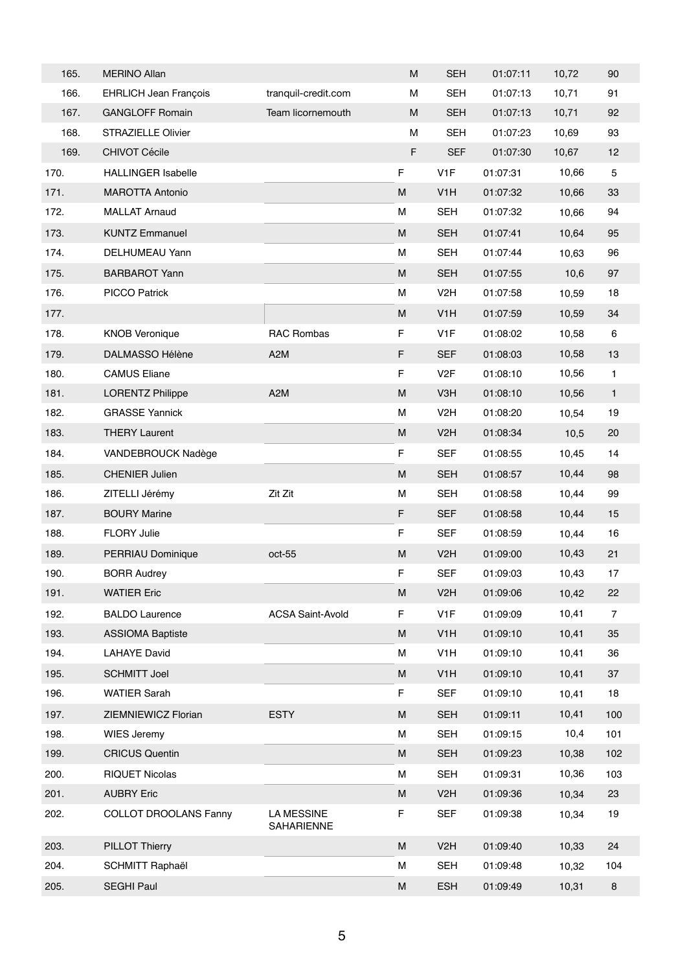| 165. | <b>MERINO Allan</b>          |                                 | M                                                                                                          | <b>SEH</b>       | 01:07:11 | 10,72 | 90             |
|------|------------------------------|---------------------------------|------------------------------------------------------------------------------------------------------------|------------------|----------|-------|----------------|
| 166. | <b>EHRLICH Jean François</b> | tranquil-credit.com             | M                                                                                                          | <b>SEH</b>       | 01:07:13 | 10,71 | 91             |
| 167. | <b>GANGLOFF Romain</b>       | Team licornemouth               | M                                                                                                          | <b>SEH</b>       | 01:07:13 | 10,71 | 92             |
| 168. | <b>STRAZIELLE Olivier</b>    |                                 | M                                                                                                          | <b>SEH</b>       | 01:07:23 | 10,69 | 93             |
| 169. | <b>CHIVOT Cécile</b>         |                                 | F                                                                                                          | <b>SEF</b>       | 01:07:30 | 10,67 | 12             |
| 170. | <b>HALLINGER Isabelle</b>    |                                 | $\mathsf F$                                                                                                | V <sub>1</sub> F | 01:07:31 | 10,66 | 5              |
| 171. | <b>MAROTTA Antonio</b>       |                                 | $\mathsf{M}% _{T}=\mathsf{M}_{T}\!\left( a,b\right) ,\ \mathsf{M}_{T}=\mathsf{M}_{T}\!\left( a,b\right) ,$ | V <sub>1</sub> H | 01:07:32 | 10,66 | $33\,$         |
| 172. | <b>MALLAT Arnaud</b>         |                                 | M                                                                                                          | <b>SEH</b>       | 01:07:32 | 10,66 | 94             |
| 173. | <b>KUNTZ Emmanuel</b>        |                                 | M                                                                                                          | <b>SEH</b>       | 01:07:41 | 10,64 | 95             |
| 174. | DELHUMEAU Yann               |                                 | М                                                                                                          | <b>SEH</b>       | 01:07:44 | 10,63 | 96             |
| 175. | <b>BARBAROT Yann</b>         |                                 | ${\sf M}$                                                                                                  | <b>SEH</b>       | 01:07:55 | 10,6  | 97             |
| 176. | <b>PICCO Patrick</b>         |                                 | м                                                                                                          | V <sub>2</sub> H | 01:07:58 | 10,59 | 18             |
| 177. |                              |                                 | M                                                                                                          | V <sub>1</sub> H | 01:07:59 | 10,59 | 34             |
| 178. | <b>KNOB Veronique</b>        | RAC Rombas                      | F                                                                                                          | V <sub>1</sub> F | 01:08:02 | 10,58 | 6              |
| 179. | <b>DALMASSO Hélène</b>       | A <sub>2</sub> M                | F                                                                                                          | <b>SEF</b>       | 01:08:03 | 10,58 | 13             |
| 180. | <b>CAMUS Eliane</b>          |                                 | F                                                                                                          | V <sub>2</sub> F | 01:08:10 | 10,56 | 1              |
| 181. | <b>LORENTZ Philippe</b>      | A <sub>2</sub> M                | M                                                                                                          | V3H              | 01:08:10 | 10,56 | 1              |
| 182. | <b>GRASSE Yannick</b>        |                                 | M                                                                                                          | V <sub>2</sub> H | 01:08:20 | 10,54 | 19             |
| 183. | <b>THERY Laurent</b>         |                                 | M                                                                                                          | V <sub>2</sub> H | 01:08:34 | 10,5  | 20             |
| 184. | VANDEBROUCK Nadège           |                                 | F                                                                                                          | <b>SEF</b>       | 01:08:55 | 10,45 | 14             |
| 185. | <b>CHENIER Julien</b>        |                                 | ${\sf M}$                                                                                                  | <b>SEH</b>       | 01:08:57 | 10,44 | 98             |
| 186. | ZITELLI Jérémy               | Zit Zit                         | м                                                                                                          | <b>SEH</b>       | 01:08:58 | 10,44 | 99             |
| 187. | <b>BOURY Marine</b>          |                                 | F                                                                                                          | <b>SEF</b>       | 01:08:58 | 10,44 | 15             |
| 188. | <b>FLORY Julie</b>           |                                 | F                                                                                                          | SEF              | 01:08:59 | 10,44 | 16             |
| 189. | PERRIAU Dominique            | $oct-55$                        | M                                                                                                          | V <sub>2</sub> H | 01:09:00 | 10,43 | 21             |
| 190. | <b>BORR Audrey</b>           |                                 | F                                                                                                          | <b>SEF</b>       | 01:09:03 | 10,43 | 17             |
| 191. | <b>WATIER Eric</b>           |                                 | ${\sf M}$                                                                                                  | V <sub>2</sub> H | 01:09:06 | 10,42 | 22             |
| 192. | <b>BALDO Laurence</b>        | <b>ACSA Saint-Avold</b>         | F                                                                                                          | V <sub>1</sub> F | 01:09:09 | 10,41 | $\overline{7}$ |
| 193. | <b>ASSIOMA Baptiste</b>      |                                 | M                                                                                                          | V <sub>1</sub> H | 01:09:10 | 10,41 | 35             |
| 194. | <b>LAHAYE David</b>          |                                 | м                                                                                                          | V <sub>1</sub> H | 01:09:10 | 10,41 | 36             |
| 195. | <b>SCHMITT Joel</b>          |                                 | M                                                                                                          | V <sub>1</sub> H | 01:09:10 | 10,41 | 37             |
| 196. | <b>WATIER Sarah</b>          |                                 | F                                                                                                          | <b>SEF</b>       | 01:09:10 | 10,41 | 18             |
| 197. | ZIEMNIEWICZ Florian          | <b>ESTY</b>                     | ${\sf M}$                                                                                                  | <b>SEH</b>       | 01:09:11 | 10,41 | 100            |
| 198. | <b>WIES Jeremy</b>           |                                 | М                                                                                                          | <b>SEH</b>       | 01:09:15 | 10,4  | 101            |
| 199. | <b>CRICUS Quentin</b>        |                                 | M                                                                                                          | <b>SEH</b>       | 01:09:23 | 10,38 | 102            |
| 200. | <b>RIQUET Nicolas</b>        |                                 | М                                                                                                          | <b>SEH</b>       | 01:09:31 | 10,36 | 103            |
| 201. | <b>AUBRY Eric</b>            |                                 | M                                                                                                          | V <sub>2</sub> H | 01:09:36 | 10,34 | 23             |
| 202. | <b>COLLOT DROOLANS Fanny</b> | <b>LA MESSINE</b><br>SAHARIENNE | F                                                                                                          | <b>SEF</b>       | 01:09:38 | 10,34 | 19             |
| 203. | <b>PILLOT Thierry</b>        |                                 | ${\sf M}$                                                                                                  | V <sub>2</sub> H | 01:09:40 | 10,33 | 24             |
| 204. | <b>SCHMITT Raphaël</b>       |                                 | М                                                                                                          | <b>SEH</b>       | 01:09:48 | 10,32 | 104            |
| 205. | <b>SEGHI Paul</b>            |                                 | ${\sf M}$                                                                                                  | <b>ESH</b>       | 01:09:49 | 10,31 | $\bf8$         |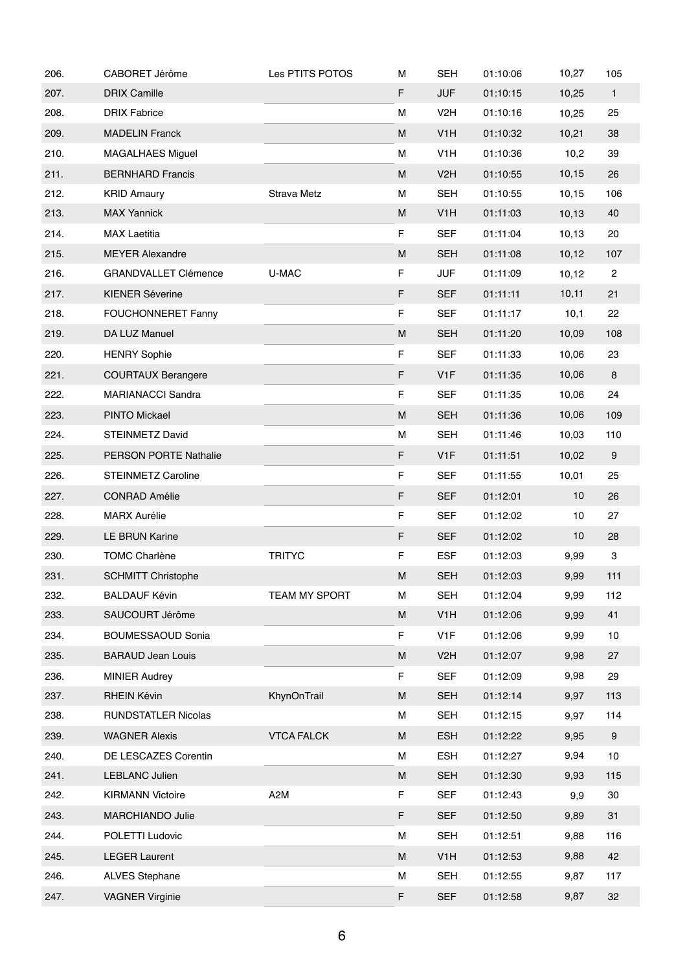| 206. | CABORET Jérôme               | Les PTITS POTOS    | М | <b>SEH</b>       | 01:10:06 | 10,27  | 105              |
|------|------------------------------|--------------------|---|------------------|----------|--------|------------------|
| 207. | <b>DRIX Camille</b>          |                    | F | <b>JUF</b>       | 01:10:15 | 10,25  | $\mathbf{1}$     |
| 208. | <b>DRIX Fabrice</b>          |                    | М | V <sub>2</sub> H | 01:10:16 | 10,25  | 25               |
| 209. | <b>MADELIN Franck</b>        |                    | M | V <sub>1</sub> H | 01:10:32 | 10,21  | 38               |
| 210. | <b>MAGALHAES Miguel</b>      |                    | М | V <sub>1</sub> H | 01:10:36 | 10,2   | 39               |
| 211. | <b>BERNHARD Francis</b>      |                    | M | V <sub>2</sub> H | 01:10:55 | 10, 15 | 26               |
| 212. | <b>KRID Amaury</b>           | <b>Strava Metz</b> | M | <b>SEH</b>       | 01:10:55 | 10,15  | 106              |
| 213. | <b>MAX Yannick</b>           |                    | M | V <sub>1</sub> H | 01:11:03 | 10, 13 | 40               |
| 214. | <b>MAX Laetitia</b>          |                    | F | <b>SEF</b>       | 01:11:04 | 10, 13 | 20               |
| 215. | <b>MEYER Alexandre</b>       |                    | M | <b>SEH</b>       | 01:11:08 | 10,12  | 107              |
| 216. | <b>GRANDVALLET Clémence</b>  | U-MAC              | F | <b>JUF</b>       | 01:11:09 | 10, 12 | $\mathbf{2}$     |
| 217. | <b>KIENER Séverine</b>       |                    | F | <b>SEF</b>       | 01:11:11 | 10,11  | 21               |
| 218. | <b>FOUCHONNERET Fanny</b>    |                    | F | <b>SEF</b>       | 01:11:17 | 10,1   | 22               |
| 219. | DA LUZ Manuel                |                    | M | <b>SEH</b>       | 01:11:20 | 10,09  | 108              |
| 220. | <b>HENRY Sophie</b>          |                    | F | <b>SEF</b>       | 01:11:33 | 10,06  | 23               |
| 221. | <b>COURTAUX Berangere</b>    |                    | F | V <sub>1</sub> F | 01:11:35 | 10,06  | 8                |
| 222. | MARIANACCI Sandra            |                    | F | <b>SEF</b>       | 01:11:35 | 10,06  | 24               |
| 223. | <b>PINTO Mickael</b>         |                    | M | <b>SEH</b>       | 01:11:36 | 10,06  | 109              |
| 224. | STEINMETZ David              |                    | М | <b>SEH</b>       | 01:11:46 | 10,03  | 110              |
| 225. | <b>PERSON PORTE Nathalie</b> |                    | F | V <sub>1</sub> F | 01:11:51 | 10,02  | $\boldsymbol{9}$ |
| 226. | <b>STEINMETZ Caroline</b>    |                    | F | <b>SEF</b>       | 01:11:55 | 10,01  | 25               |
| 227. | <b>CONRAD Amélie</b>         |                    | F | <b>SEF</b>       | 01:12:01 | 10     | 26               |
| 228. | <b>MARX Aurélie</b>          |                    | F | <b>SEF</b>       | 01:12:02 | 10     | 27               |
| 229. | LE BRUN Karine               |                    | F | <b>SEF</b>       | 01:12:02 | 10     | 28               |
| 230. | <b>TOMC Charlène</b>         | <b>TRITYC</b>      | F | <b>ESF</b>       | 01:12:03 | 9,99   | 3                |
| 231. | <b>SCHMITT Christophe</b>    |                    | M | <b>SEH</b>       | 01:12:03 | 9,99   | 111              |
| 232. | <b>BALDAUF Kévin</b>         | TEAM MY SPORT      | М | <b>SEH</b>       | 01:12:04 | 9,99   | 112              |
| 233. | SAUCOURT Jérôme              |                    | M | V <sub>1</sub> H | 01:12:06 | 9,99   | 41               |
| 234. | <b>BOUMESSAOUD Sonia</b>     |                    | F | V <sub>1</sub> F | 01:12:06 | 9,99   | 10               |
| 235. | <b>BARAUD Jean Louis</b>     |                    | M | V <sub>2</sub> H | 01:12:07 | 9,98   | 27               |
| 236. | <b>MINIER Audrey</b>         |                    | F | <b>SEF</b>       | 01:12:09 | 9,98   | 29               |
| 237. | <b>RHEIN Kévin</b>           | KhynOnTrail        | M | <b>SEH</b>       | 01:12:14 | 9,97   | 113              |
| 238. | RUNDSTATLER Nicolas          |                    | м | <b>SEH</b>       | 01:12:15 | 9,97   | 114              |
| 239. | <b>WAGNER Alexis</b>         | <b>VTCA FALCK</b>  | M | <b>ESH</b>       | 01:12:22 | 9,95   | $\boldsymbol{9}$ |
| 240. | DE LESCAZES Corentin         |                    | М | ESH              | 01:12:27 | 9,94   | 10               |
| 241. | LEBLANC Julien               |                    | M | <b>SEH</b>       | 01:12:30 | 9,93   | 115              |
| 242. | <b>KIRMANN Victoire</b>      | A <sub>2</sub> M   | F | SEF              | 01:12:43 | 9,9    | 30               |
| 243. | MARCHIANDO Julie             |                    | F | <b>SEF</b>       | 01:12:50 | 9,89   | 31               |
| 244. | POLETTI Ludovic              |                    | М | <b>SEH</b>       | 01:12:51 | 9,88   | 116              |
| 245. | <b>LEGER Laurent</b>         |                    | M | V <sub>1</sub> H | 01:12:53 | 9,88   | 42               |
| 246. | <b>ALVES Stephane</b>        |                    | М | <b>SEH</b>       | 01:12:55 | 9,87   | 117              |
| 247. | <b>VAGNER Virginie</b>       |                    | F | <b>SEF</b>       | 01:12:58 | 9,87   | 32               |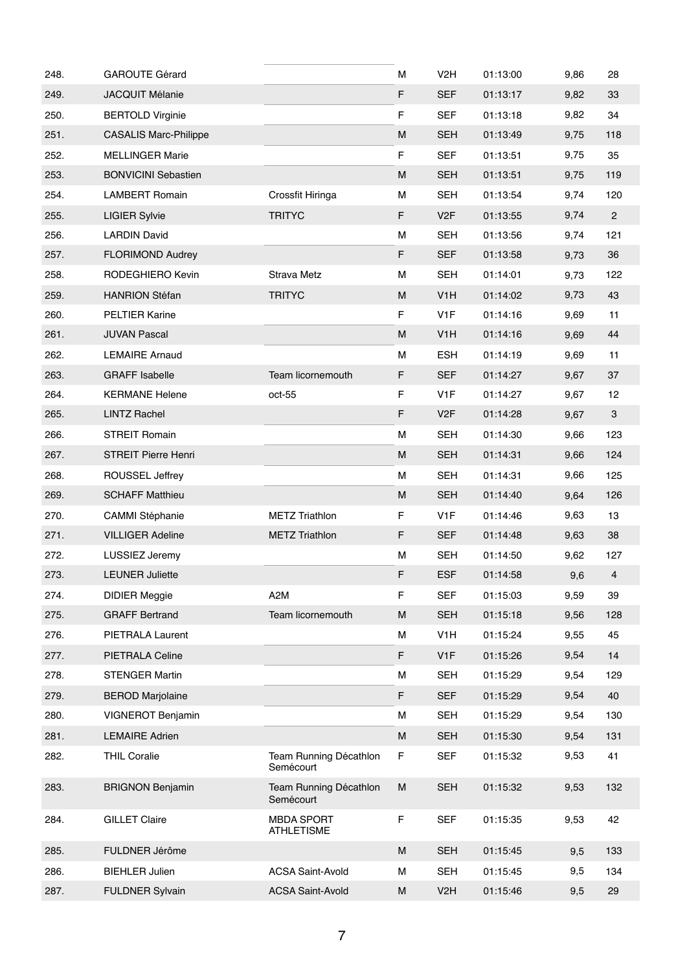| 248. | <b>GAROUTE Gérard</b>        |                                        | м         | V <sub>2</sub> H | 01:13:00 | 9,86 | 28             |
|------|------------------------------|----------------------------------------|-----------|------------------|----------|------|----------------|
| 249. | JACQUIT Mélanie              |                                        | F         | <b>SEF</b>       | 01:13:17 | 9,82 | 33             |
| 250. | <b>BERTOLD Virginie</b>      |                                        | F         | <b>SEF</b>       | 01:13:18 | 9,82 | 34             |
| 251. | <b>CASALIS Marc-Philippe</b> |                                        | M         | <b>SEH</b>       | 01:13:49 | 9,75 | 118            |
| 252. | <b>MELLINGER Marie</b>       |                                        | F         | <b>SEF</b>       | 01:13:51 | 9,75 | 35             |
| 253. | <b>BONVICINI Sebastien</b>   |                                        | M         | <b>SEH</b>       | 01:13:51 | 9,75 | 119            |
| 254. | <b>LAMBERT Romain</b>        | Crossfit Hiringa                       | M         | <b>SEH</b>       | 01:13:54 | 9,74 | 120            |
| 255. | <b>LIGIER Sylvie</b>         | <b>TRITYC</b>                          | F         | V <sub>2F</sub>  | 01:13:55 | 9,74 | $\overline{2}$ |
| 256. | <b>LARDIN David</b>          |                                        | M         | <b>SEH</b>       | 01:13:56 | 9,74 | 121            |
| 257. | <b>FLORIMOND Audrey</b>      |                                        | F         | <b>SEF</b>       | 01:13:58 | 9,73 | 36             |
| 258. | RODEGHIERO Kevin             | <b>Strava Metz</b>                     | м         | <b>SEH</b>       | 01:14:01 | 9,73 | 122            |
| 259. | <b>HANRION Stéfan</b>        | <b>TRITYC</b>                          | M         | V <sub>1</sub> H | 01:14:02 | 9,73 | 43             |
| 260. | <b>PELTIER Karine</b>        |                                        | F         | V <sub>1</sub> F | 01:14:16 | 9,69 | 11             |
| 261. | <b>JUVAN Pascal</b>          |                                        | M         | V <sub>1</sub> H | 01:14:16 | 9,69 | 44             |
| 262. | <b>LEMAIRE Arnaud</b>        |                                        | M         | <b>ESH</b>       | 01:14:19 | 9,69 | 11             |
| 263. | <b>GRAFF Isabelle</b>        | Team licornemouth                      | F         | <b>SEF</b>       | 01:14:27 | 9,67 | 37             |
| 264. | <b>KERMANE Helene</b>        | oct-55                                 | F         | V <sub>1</sub> F | 01:14:27 | 9,67 | 12             |
| 265. | <b>LINTZ Rachel</b>          |                                        | F         | V <sub>2</sub> F | 01:14:28 | 9,67 | 3              |
| 266. | <b>STREIT Romain</b>         |                                        | м         | <b>SEH</b>       | 01:14:30 | 9,66 | 123            |
| 267. | STREIT Pierre Henri          |                                        | M         | <b>SEH</b>       | 01:14:31 | 9,66 | 124            |
| 268. | <b>ROUSSEL Jeffrey</b>       |                                        | м         | <b>SEH</b>       | 01:14:31 | 9,66 | 125            |
| 269. | <b>SCHAFF Matthieu</b>       |                                        | M         | <b>SEH</b>       | 01:14:40 | 9,64 | 126            |
| 270. | <b>CAMMI Stéphanie</b>       | <b>METZ Triathlon</b>                  | F         | V <sub>1</sub> F | 01:14:46 | 9,63 | 13             |
| 271. | <b>VILLIGER Adeline</b>      | <b>METZ Triathlon</b>                  | F         | <b>SEF</b>       | 01:14:48 | 9,63 | 38             |
| 272. | LUSSIEZ Jeremy               |                                        | M         | <b>SEH</b>       | 01:14:50 | 9,62 | 127            |
| 273. | <b>LEUNER Juliette</b>       |                                        | F         | <b>ESF</b>       | 01:14:58 | 9,6  | $\overline{4}$ |
| 274. | <b>DIDIER Meggie</b>         | A <sub>2</sub> M                       | F         | <b>SEF</b>       | 01:15:03 | 9,59 | 39             |
| 275. | <b>GRAFF Bertrand</b>        | Team licornemouth                      | M         | <b>SEH</b>       | 01:15:18 | 9,56 | 128            |
| 276. | PIETRALA Laurent             |                                        | М         | V <sub>1</sub> H | 01:15:24 | 9,55 | 45             |
| 277. | PIETRALA Celine              |                                        | F         | V <sub>1</sub> F | 01:15:26 | 9,54 | 14             |
| 278. | <b>STENGER Martin</b>        |                                        | M         | <b>SEH</b>       | 01:15:29 | 9,54 | 129            |
| 279. | <b>BEROD Marjolaine</b>      |                                        | F         | <b>SEF</b>       | 01:15:29 | 9,54 | 40             |
| 280. | VIGNEROT Benjamin            |                                        | M         | <b>SEH</b>       | 01:15:29 | 9,54 | 130            |
| 281. | <b>LEMAIRE Adrien</b>        |                                        | ${\sf M}$ | <b>SEH</b>       | 01:15:30 | 9,54 | 131            |
| 282. | <b>THIL Coralie</b>          | Team Running Décathlon<br>Semécourt    | F         | <b>SEF</b>       | 01:15:32 | 9,53 | 41             |
| 283. | <b>BRIGNON Benjamin</b>      | Team Running Décathlon<br>Semécourt    | ${\sf M}$ | <b>SEH</b>       | 01:15:32 | 9,53 | 132            |
| 284. | <b>GILLET Claire</b>         | <b>MBDA SPORT</b><br><b>ATHLETISME</b> | F         | <b>SEF</b>       | 01:15:35 | 9,53 | 42             |
| 285. | FULDNER Jérôme               |                                        | M         | <b>SEH</b>       | 01:15:45 | 9,5  | 133            |
| 286. | <b>BIEHLER Julien</b>        | <b>ACSA Saint-Avold</b>                | М         | <b>SEH</b>       | 01:15:45 | 9,5  | 134            |
| 287. | <b>FULDNER Sylvain</b>       | <b>ACSA Saint-Avold</b>                | M         | V <sub>2</sub> H | 01:15:46 | 9,5  | 29             |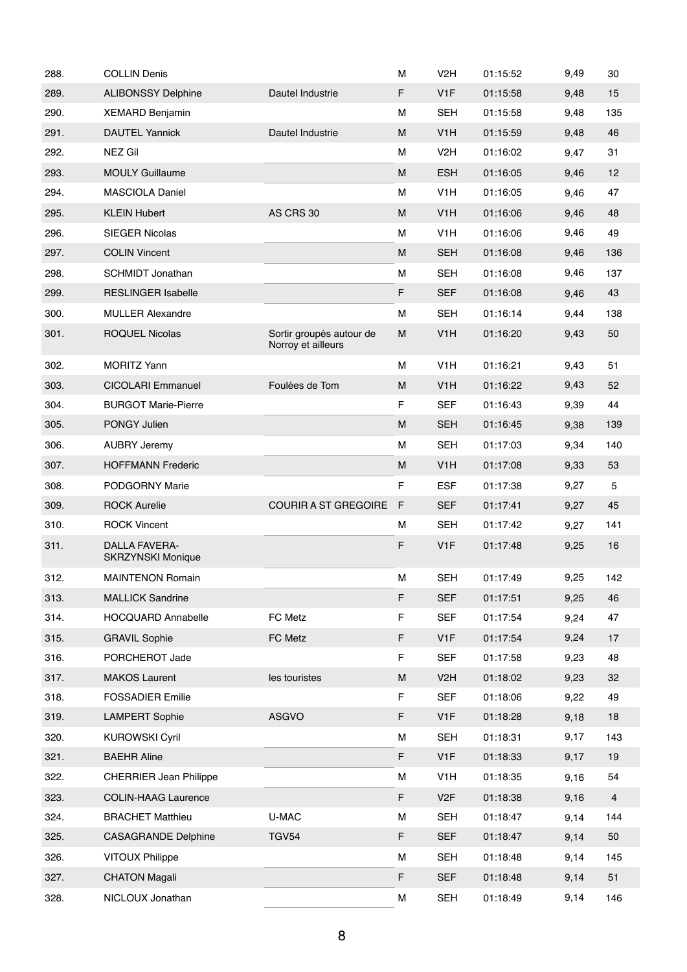| 288. | <b>COLLIN Denis</b>                              |                                                | М | V <sub>2</sub> H | 01:15:52 | 9,49 | 30             |
|------|--------------------------------------------------|------------------------------------------------|---|------------------|----------|------|----------------|
| 289. | <b>ALIBONSSY Delphine</b>                        | Dautel Industrie                               | F | V <sub>1</sub> F | 01:15:58 | 9,48 | 15             |
| 290. | <b>XEMARD Benjamin</b>                           |                                                | М | <b>SEH</b>       | 01:15:58 | 9,48 | 135            |
| 291. | <b>DAUTEL Yannick</b>                            | Dautel Industrie                               | M | V <sub>1</sub> H | 01:15:59 | 9,48 | 46             |
| 292. | <b>NEZ Gil</b>                                   |                                                | M | V <sub>2</sub> H | 01:16:02 | 9,47 | 31             |
| 293. | <b>MOULY Guillaume</b>                           |                                                | M | <b>ESH</b>       | 01:16:05 | 9,46 | 12             |
| 294. | <b>MASCIOLA Daniel</b>                           |                                                | М | V <sub>1</sub> H | 01:16:05 | 9,46 | 47             |
| 295. | <b>KLEIN Hubert</b>                              | AS CRS 30                                      | м | V <sub>1</sub> H | 01:16:06 | 9,46 | 48             |
| 296. | <b>SIEGER Nicolas</b>                            |                                                | М | V <sub>1</sub> H | 01:16:06 | 9,46 | 49             |
| 297. | <b>COLIN Vincent</b>                             |                                                | M | <b>SEH</b>       | 01:16:08 | 9,46 | 136            |
| 298. | <b>SCHMIDT Jonathan</b>                          |                                                | М | <b>SEH</b>       | 01:16:08 | 9,46 | 137            |
| 299. | <b>RESLINGER Isabelle</b>                        |                                                | F | <b>SEF</b>       | 01:16:08 | 9,46 | 43             |
| 300. | <b>MULLER Alexandre</b>                          |                                                | М | <b>SEH</b>       | 01:16:14 | 9,44 | 138            |
| 301. | <b>ROQUEL Nicolas</b>                            | Sortir groupés autour de<br>Norroy et ailleurs | M | V <sub>1</sub> H | 01:16:20 | 9,43 | 50             |
| 302. | <b>MORITZ Yann</b>                               |                                                | М | V <sub>1</sub> H | 01:16:21 | 9,43 | 51             |
| 303. | <b>CICOLARI Emmanuel</b>                         | Foulées de Tom                                 | M | V <sub>1</sub> H | 01:16:22 | 9,43 | 52             |
| 304. | <b>BURGOT Marie-Pierre</b>                       |                                                | F | <b>SEF</b>       | 01:16:43 | 9,39 | 44             |
| 305. | PONGY Julien                                     |                                                | M | <b>SEH</b>       | 01:16:45 | 9,38 | 139            |
| 306. | <b>AUBRY Jeremy</b>                              |                                                | М | <b>SEH</b>       | 01:17:03 | 9,34 | 140            |
| 307. | <b>HOFFMANN Frederic</b>                         |                                                | M | V <sub>1</sub> H | 01:17:08 | 9,33 | 53             |
| 308. | PODGORNY Marie                                   |                                                | F | <b>ESF</b>       | 01:17:38 | 9,27 | 5              |
| 309. | <b>ROCK Aurelie</b>                              | <b>COURIR A ST GREGOIRE</b>                    | F | <b>SEF</b>       | 01:17:41 | 9,27 | 45             |
| 310. | <b>ROCK Vincent</b>                              |                                                | М | <b>SEH</b>       | 01:17:42 | 9,27 | 141            |
| 311. | <b>DALLA FAVERA-</b><br><b>SKRZYNSKI Monique</b> |                                                | F | V <sub>1</sub> F | 01:17:48 | 9,25 | 16             |
| 312. | <b>MAINTENON Romain</b>                          |                                                | М | <b>SEH</b>       | 01:17:49 | 9,25 | 142            |
| 313. | <b>MALLICK Sandrine</b>                          |                                                | F | <b>SEF</b>       | 01:17:51 | 9,25 | 46             |
| 314. | <b>HOCQUARD Annabelle</b>                        | FC Metz                                        | F | <b>SEF</b>       | 01:17:54 | 9,24 | 47             |
| 315. | <b>GRAVIL Sophie</b>                             | FC Metz                                        | F | V <sub>1</sub> F | 01:17:54 | 9,24 | 17             |
| 316. | PORCHEROT Jade                                   |                                                | F | <b>SEF</b>       | 01:17:58 | 9,23 | 48             |
| 317. | <b>MAKOS Laurent</b>                             | les touristes                                  | M | V <sub>2</sub> H | 01:18:02 | 9,23 | 32             |
| 318. | <b>FOSSADIER Emilie</b>                          |                                                | F | <b>SEF</b>       | 01:18:06 | 9,22 | 49             |
| 319. | <b>LAMPERT Sophie</b>                            | <b>ASGVO</b>                                   | F | V <sub>1</sub> F | 01:18:28 | 9,18 | 18             |
| 320. | <b>KUROWSKI Cyril</b>                            |                                                | М | <b>SEH</b>       | 01:18:31 | 9,17 | 143            |
| 321. | <b>BAEHR Aline</b>                               |                                                | F | V <sub>1</sub> F | 01:18:33 | 9,17 | 19             |
| 322. | <b>CHERRIER Jean Philippe</b>                    |                                                | М | V <sub>1</sub> H | 01:18:35 | 9,16 | 54             |
| 323. | <b>COLIN-HAAG Laurence</b>                       |                                                | F | V <sub>2</sub> F | 01:18:38 | 9,16 | $\overline{4}$ |
| 324. | <b>BRACHET Matthieu</b>                          | U-MAC                                          | М | <b>SEH</b>       | 01:18:47 | 9,14 | 144            |
| 325. | <b>CASAGRANDE Delphine</b>                       | <b>TGV54</b>                                   | F | <b>SEF</b>       | 01:18:47 | 9,14 | 50             |
| 326. | <b>VITOUX Philippe</b>                           |                                                | М | <b>SEH</b>       | 01:18:48 | 9,14 | 145            |
| 327. | <b>CHATON Magali</b>                             |                                                | F | <b>SEF</b>       | 01:18:48 | 9,14 | 51             |
| 328. | NICLOUX Jonathan                                 |                                                | М | <b>SEH</b>       | 01:18:49 | 9,14 | 146            |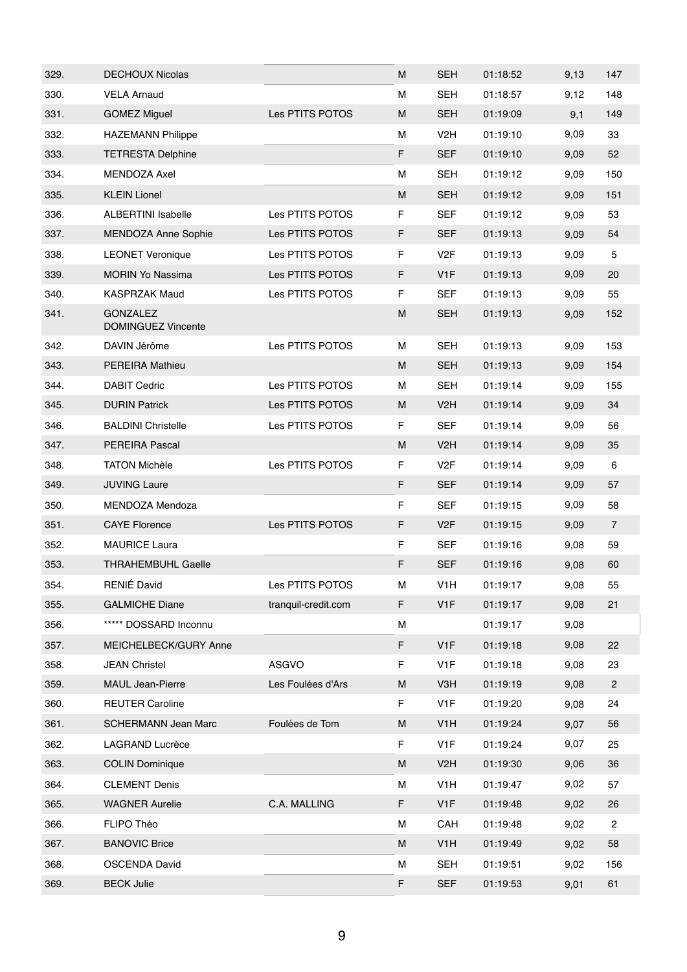| 329. | <b>DECHOUX Nicolas</b>                       |                     | М | <b>SEH</b>       | 01:18:52 | 9,13 | 147            |
|------|----------------------------------------------|---------------------|---|------------------|----------|------|----------------|
| 330. | <b>VELA Arnaud</b>                           |                     | М | <b>SEH</b>       | 01:18:57 | 9,12 | 148            |
| 331. | <b>GOMEZ Miguel</b>                          | Les PTITS POTOS     | M | <b>SEH</b>       | 01:19:09 | 9,1  | 149            |
| 332. | <b>HAZEMANN Philippe</b>                     |                     | М | V <sub>2</sub> H | 01:19:10 | 9,09 | 33             |
| 333. | <b>TETRESTA Delphine</b>                     |                     | F | <b>SEF</b>       | 01:19:10 | 9,09 | 52             |
| 334. | <b>MENDOZA Axel</b>                          |                     | М | <b>SEH</b>       | 01:19:12 | 9,09 | 150            |
| 335. | <b>KLEIN Lionel</b>                          |                     | M | <b>SEH</b>       | 01:19:12 | 9,09 | 151            |
| 336. | <b>ALBERTINI Isabelle</b>                    | Les PTITS POTOS     | F | <b>SEF</b>       | 01:19:12 | 9,09 | 53             |
| 337. | <b>MENDOZA Anne Sophie</b>                   | Les PTITS POTOS     | F | <b>SEF</b>       | 01:19:13 | 9,09 | 54             |
| 338. | <b>LEONET Veronique</b>                      | Les PTITS POTOS     | F | V <sub>2</sub> F | 01:19:13 | 9,09 | 5              |
| 339. | <b>MORIN Yo Nassima</b>                      | Les PTITS POTOS     | F | V <sub>1</sub> F | 01:19:13 | 9,09 | 20             |
| 340. | <b>KASPRZAK Maud</b>                         | Les PTITS POTOS     | F | <b>SEF</b>       | 01:19:13 | 9,09 | 55             |
| 341. | <b>GONZALEZ</b><br><b>DOMINGUEZ Vincente</b> |                     | M | <b>SEH</b>       | 01:19:13 | 9,09 | 152            |
| 342. | DAVIN Jérôme                                 | Les PTITS POTOS     | М | <b>SEH</b>       | 01:19:13 | 9,09 | 153            |
| 343. | <b>PEREIRA Mathieu</b>                       |                     | M | <b>SEH</b>       | 01:19:13 | 9,09 | 154            |
| 344. | <b>DABIT Cedric</b>                          | Les PTITS POTOS     | М | <b>SEH</b>       | 01:19:14 | 9,09 | 155            |
| 345. | <b>DURIN Patrick</b>                         | Les PTITS POTOS     | M | V <sub>2</sub> H | 01:19:14 | 9,09 | 34             |
| 346. | <b>BALDINI Christelle</b>                    | Les PTITS POTOS     | F | <b>SEF</b>       | 01:19:14 | 9,09 | 56             |
| 347. | <b>PEREIRA Pascal</b>                        |                     | м | V <sub>2</sub> H | 01:19:14 | 9,09 | 35             |
| 348. | <b>TATON Michèle</b>                         | Les PTITS POTOS     | F | V <sub>2</sub> F | 01:19:14 | 9,09 | 6              |
| 349. | <b>JUVING Laure</b>                          |                     | F | <b>SEF</b>       | 01:19:14 | 9,09 | 57             |
| 350. | MENDOZA Mendoza                              |                     | F | <b>SEF</b>       | 01:19:15 | 9,09 | 58             |
| 351. | <b>CAYE Florence</b>                         | Les PTITS POTOS     | F | V <sub>2</sub> F | 01:19:15 | 9,09 | $\overline{7}$ |
| 352. | <b>MAURICE Laura</b>                         |                     | F | <b>SEF</b>       | 01:19:16 | 9,08 | 59             |
| 353. | <b>THRAHEMBUHL Gaelle</b>                    |                     | F | <b>SEF</b>       | 01:19:16 | 9,08 | 60             |
| 354. | RENIÉ David                                  | Les PTITS POTOS     | М | V <sub>1</sub> H | 01:19:17 | 9,08 | 55             |
| 355. | <b>GALMICHE Diane</b>                        | tranquil-credit.com | F | V <sub>1</sub> F | 01:19:17 | 9,08 | 21             |
| 356. | ***** DOSSARD Inconnu                        |                     | М |                  | 01:19:17 | 9,08 |                |
| 357. | MEICHELBECK/GURY Anne                        |                     | F | V1F              | 01:19:18 | 9,08 | 22             |
| 358. | <b>JEAN Christel</b>                         | ASGVO               | F | V <sub>1</sub> F | 01:19:18 | 9,08 | 23             |
| 359. | <b>MAUL Jean-Pierre</b>                      | Les Foulées d'Ars   | M | V <sub>3</sub> H | 01:19:19 | 9,08 | $\overline{c}$ |
| 360. | <b>REUTER Caroline</b>                       |                     | F | V <sub>1</sub> F | 01:19:20 | 9,08 | 24             |
| 361. | <b>SCHERMANN Jean Marc</b>                   | Foulées de Tom      | M | V <sub>1</sub> H | 01:19:24 | 9,07 | 56             |
| 362. | LAGRAND Lucrèce                              |                     | F | V <sub>1</sub> F | 01:19:24 | 9,07 | 25             |
| 363. | <b>COLIN Dominique</b>                       |                     | М | V <sub>2</sub> H | 01:19:30 | 9,06 | 36             |
| 364. | <b>CLEMENT Denis</b>                         |                     | М | V <sub>1</sub> H | 01:19:47 | 9,02 | 57             |
| 365. | <b>WAGNER Aurelie</b>                        | C.A. MALLING        | F | V <sub>1</sub> F | 01:19:48 | 9,02 | 26             |
| 366. | FLIPO Théo                                   |                     | М | CAH              | 01:19:48 | 9,02 | $\overline{c}$ |
| 367. | <b>BANOVIC Brice</b>                         |                     | М | V <sub>1</sub> H | 01:19:49 | 9,02 | 58             |
| 368. | <b>OSCENDA David</b>                         |                     | М | <b>SEH</b>       | 01:19:51 | 9,02 | 156            |
| 369. | <b>BECK Julie</b>                            |                     | F | <b>SEF</b>       | 01:19:53 | 9,01 | 61             |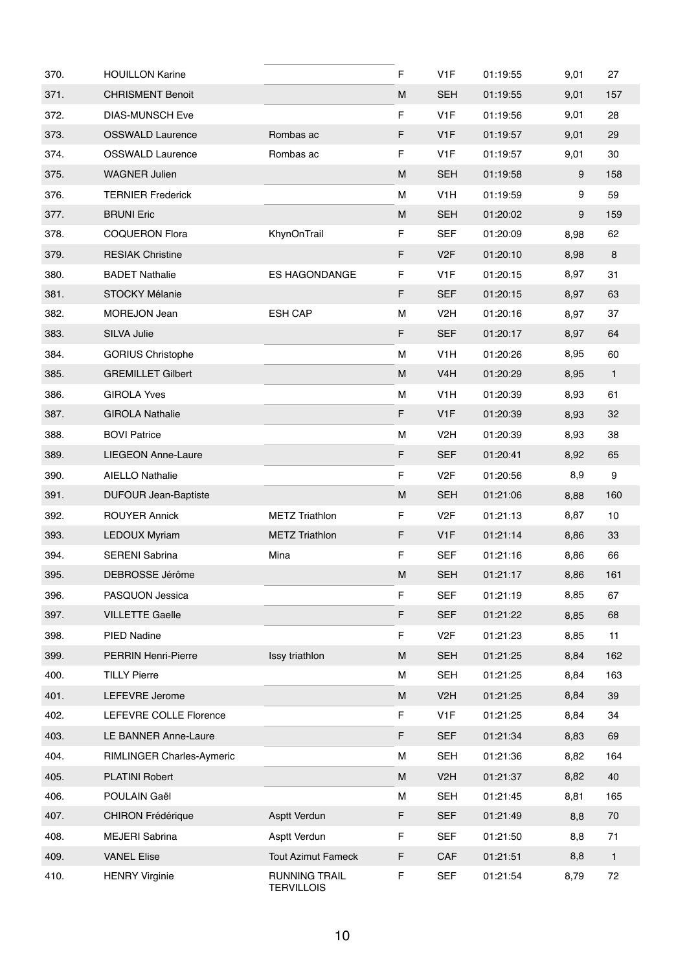| 370. | <b>HOUILLON Karine</b>      |                                           | F           | V <sub>1</sub> F | 01:19:55 | 9,01 | 27              |
|------|-----------------------------|-------------------------------------------|-------------|------------------|----------|------|-----------------|
| 371. | <b>CHRISMENT Benoit</b>     |                                           | M           | <b>SEH</b>       | 01:19:55 | 9,01 | 157             |
| 372. | <b>DIAS-MUNSCH Eve</b>      |                                           | F           | V <sub>1</sub> F | 01:19:56 | 9,01 | 28              |
| 373. | <b>OSSWALD Laurence</b>     | Rombas ac                                 | $\mathsf F$ | V1F              | 01:19:57 | 9,01 | 29              |
| 374. | <b>OSSWALD Laurence</b>     | Rombas ac                                 | $\mathsf F$ | V <sub>1</sub> F | 01:19:57 | 9,01 | 30              |
| 375. | <b>WAGNER Julien</b>        |                                           | M           | <b>SEH</b>       | 01:19:58 | 9    | 158             |
| 376. | <b>TERNIER Frederick</b>    |                                           | М           | V <sub>1</sub> H | 01:19:59 | 9    | 59              |
| 377. | <b>BRUNI Eric</b>           |                                           | M           | <b>SEH</b>       | 01:20:02 | 9    | 159             |
| 378. | <b>COQUERON Flora</b>       | KhynOnTrail                               | F           | <b>SEF</b>       | 01:20:09 | 8,98 | 62              |
| 379. | <b>RESIAK Christine</b>     |                                           | F           | V <sub>2F</sub>  | 01:20:10 | 8,98 | 8               |
| 380. | <b>BADET Nathalie</b>       | <b>ES HAGONDANGE</b>                      | $\mathsf F$ | V <sub>1</sub> F | 01:20:15 | 8,97 | 31              |
| 381. | <b>STOCKY Mélanie</b>       |                                           | F           | <b>SEF</b>       | 01:20:15 | 8,97 | 63              |
| 382. | MOREJON Jean                | <b>ESH CAP</b>                            | М           | V <sub>2</sub> H | 01:20:16 | 8,97 | 37              |
| 383. | SILVA Julie                 |                                           | F           | <b>SEF</b>       | 01:20:17 | 8,97 | 64              |
| 384. | <b>GORIUS Christophe</b>    |                                           | М           | V <sub>1</sub> H | 01:20:26 | 8,95 | 60              |
| 385. | <b>GREMILLET Gilbert</b>    |                                           | M           | V <sub>4</sub> H | 01:20:29 | 8,95 | $\mathbf{1}$    |
| 386. | <b>GIROLA Yves</b>          |                                           | м           | V <sub>1</sub> H | 01:20:39 | 8,93 | 61              |
| 387. | <b>GIROLA Nathalie</b>      |                                           | F           | V1F              | 01:20:39 | 8,93 | 32              |
| 388. | <b>BOVI Patrice</b>         |                                           | м           | V <sub>2</sub> H | 01:20:39 | 8,93 | 38              |
| 389. | <b>LIEGEON Anne-Laure</b>   |                                           | F           | <b>SEF</b>       | 01:20:41 | 8,92 | 65              |
| 390. | <b>AIELLO Nathalie</b>      |                                           | $\mathsf F$ | V <sub>2</sub> F | 01:20:56 | 8,9  | 9               |
| 391. | <b>DUFOUR Jean-Baptiste</b> |                                           | M           | <b>SEH</b>       | 01:21:06 | 8,88 | 160             |
| 392. | <b>ROUYER Annick</b>        | <b>METZ Triathlon</b>                     | F           | V <sub>2</sub> F | 01:21:13 | 8,87 | 10 <sup>1</sup> |
| 393. | <b>LEDOUX Myriam</b>        | <b>METZ Triathlon</b>                     | F           | V1F              | 01:21:14 | 8,86 | 33              |
| 394. | <b>SERENI Sabrina</b>       | Mina                                      | $\mathsf F$ | <b>SEF</b>       | 01:21:16 | 8,86 | 66              |
| 395. | DEBROSSE Jérôme             |                                           | M           | <b>SEH</b>       | 01:21:17 | 8,86 | 161             |
| 396. | PASQUON Jessica             |                                           | F           | <b>SEF</b>       | 01:21:19 | 8,85 | 67              |
| 397. | <b>VILLETTE Gaelle</b>      |                                           | F           | <b>SEF</b>       | 01:21:22 | 8,85 | 68              |
| 398. | PIED Nadine                 |                                           | F           | V <sub>2</sub> F | 01:21:23 | 8,85 | 11              |
| 399. | PERRIN Henri-Pierre         | Issy triathlon                            | M           | <b>SEH</b>       | 01:21:25 | 8,84 | 162             |
| 400. | <b>TILLY Pierre</b>         |                                           | М           | <b>SEH</b>       | 01:21:25 | 8,84 | 163             |
| 401. | LEFEVRE Jerome              |                                           | M           | V <sub>2</sub> H | 01:21:25 | 8,84 | 39              |
| 402. | LEFEVRE COLLE Florence      |                                           | F           | V <sub>1</sub> F | 01:21:25 | 8,84 | 34              |
| 403. | LE BANNER Anne-Laure        |                                           | F           | <b>SEF</b>       | 01:21:34 | 8,83 | 69              |
| 404. | RIMLINGER Charles-Aymeric   |                                           | М           | <b>SEH</b>       | 01:21:36 | 8,82 | 164             |
| 405. | <b>PLATINI Robert</b>       |                                           | M           | V <sub>2</sub> H | 01:21:37 | 8,82 | 40              |
| 406. | POULAIN Gaël                |                                           | М           | <b>SEH</b>       | 01:21:45 | 8,81 | 165             |
| 407. | <b>CHIRON Frédérique</b>    | Asptt Verdun                              | F           | <b>SEF</b>       | 01:21:49 | 8,8  | 70              |
| 408. | <b>MEJERI Sabrina</b>       | Asptt Verdun                              | F           | <b>SEF</b>       | 01:21:50 | 8,8  | 71              |
| 409. | <b>VANEL Elise</b>          | <b>Tout Azimut Fameck</b>                 | F           | CAF              | 01:21:51 | 8,8  | $\mathbf{1}$    |
| 410. | <b>HENRY Virginie</b>       | <b>RUNNING TRAIL</b><br><b>TERVILLOIS</b> | F           | <b>SEF</b>       | 01:21:54 | 8,79 | 72              |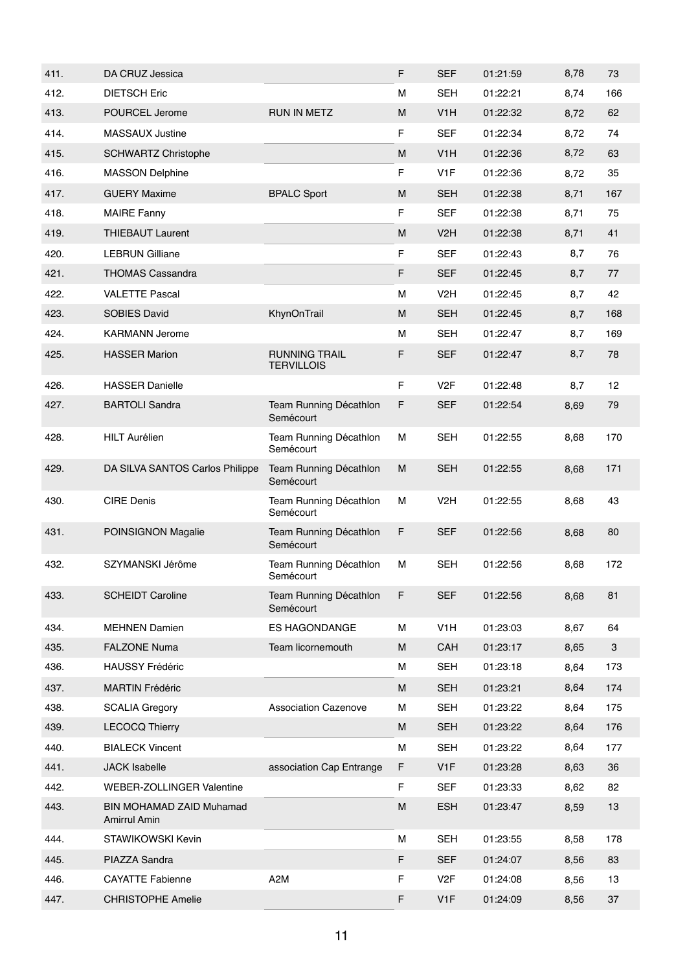| 411. | DA CRUZ Jessica                          |                                           | F | <b>SEF</b>       | 01:21:59 | 8,78 | 73  |
|------|------------------------------------------|-------------------------------------------|---|------------------|----------|------|-----|
| 412. | <b>DIETSCH Eric</b>                      |                                           | м | <b>SEH</b>       | 01:22:21 | 8,74 | 166 |
| 413. | POURCEL Jerome                           | <b>RUN IN METZ</b>                        | M | V <sub>1</sub> H | 01:22:32 | 8,72 | 62  |
| 414. | <b>MASSAUX Justine</b>                   |                                           | F | <b>SEF</b>       | 01:22:34 | 8,72 | 74  |
| 415. | <b>SCHWARTZ Christophe</b>               |                                           | M | V <sub>1</sub> H | 01:22:36 | 8,72 | 63  |
| 416. | <b>MASSON Delphine</b>                   |                                           | F | V <sub>1</sub> F | 01:22:36 | 8,72 | 35  |
| 417. | <b>GUERY Maxime</b>                      | <b>BPALC Sport</b>                        | M | <b>SEH</b>       | 01:22:38 | 8,71 | 167 |
| 418. | <b>MAIRE Fanny</b>                       |                                           | F | <b>SEF</b>       | 01:22:38 | 8,71 | 75  |
| 419. | <b>THIEBAUT Laurent</b>                  |                                           | M | V <sub>2</sub> H | 01:22:38 | 8,71 | 41  |
| 420. | <b>LEBRUN Gilliane</b>                   |                                           | F | <b>SEF</b>       | 01:22:43 | 8,7  | 76  |
| 421. | <b>THOMAS Cassandra</b>                  |                                           | F | <b>SEF</b>       | 01:22:45 | 8,7  | 77  |
| 422. | <b>VALETTE Pascal</b>                    |                                           | М | V <sub>2</sub> H | 01:22:45 | 8,7  | 42  |
| 423. | SOBIES David                             | KhynOnTrail                               | M | <b>SEH</b>       | 01:22:45 | 8,7  | 168 |
| 424. | <b>KARMANN Jerome</b>                    |                                           | М | <b>SEH</b>       | 01:22:47 | 8,7  | 169 |
| 425. | <b>HASSER Marion</b>                     | <b>RUNNING TRAIL</b><br><b>TERVILLOIS</b> | F | <b>SEF</b>       | 01:22:47 | 8,7  | 78  |
| 426. | <b>HASSER Danielle</b>                   |                                           | F | V <sub>2</sub> F | 01:22:48 | 8,7  | 12  |
| 427. | <b>BARTOLI Sandra</b>                    | Team Running Décathlon<br>Semécourt       | F | <b>SEF</b>       | 01:22:54 | 8,69 | 79  |
| 428. | <b>HILT Aurélien</b>                     | Team Running Décathlon<br>Semécourt       | М | <b>SEH</b>       | 01:22:55 | 8,68 | 170 |
| 429. | DA SILVA SANTOS Carlos Philippe          | Team Running Décathlon<br>Semécourt       | M | <b>SEH</b>       | 01:22:55 | 8,68 | 171 |
| 430. | <b>CIRE Denis</b>                        | Team Running Décathlon<br>Semécourt       | М | V <sub>2</sub> H | 01:22:55 | 8,68 | 43  |
| 431. | POINSIGNON Magalie                       | Team Running Décathlon<br>Semécourt       | F | <b>SEF</b>       | 01:22:56 | 8,68 | 80  |
| 432. | SZYMANSKI Jérôme                         | Team Running Décathlon<br>Semécourt       | М | <b>SEH</b>       | 01:22:56 | 8,68 | 172 |
| 433. | <b>SCHEIDT Caroline</b>                  | Team Running Décathlon<br>Semécourt       | F | <b>SEF</b>       | 01:22:56 | 8,68 | 81  |
| 434. | <b>MEHNEN Damien</b>                     | <b>ES HAGONDANGE</b>                      | М | V <sub>1</sub> H | 01:23:03 | 8,67 | 64  |
| 435. | <b>FALZONE Numa</b>                      | Team licornemouth                         | M | CAH              | 01:23:17 | 8,65 | 3   |
| 436. | <b>HAUSSY Frédéric</b>                   |                                           | М | <b>SEH</b>       | 01:23:18 | 8,64 | 173 |
| 437. | <b>MARTIN Frédéric</b>                   |                                           | M | <b>SEH</b>       | 01:23:21 | 8,64 | 174 |
| 438. | <b>SCALIA Gregory</b>                    | <b>Association Cazenove</b>               | М | <b>SEH</b>       | 01:23:22 | 8,64 | 175 |
| 439. | <b>LECOCQ Thierry</b>                    |                                           | M | <b>SEH</b>       | 01:23:22 | 8,64 | 176 |
| 440. | <b>BIALECK Vincent</b>                   |                                           | М | <b>SEH</b>       | 01:23:22 | 8,64 | 177 |
| 441. | <b>JACK Isabelle</b>                     | association Cap Entrange                  | F | V <sub>1</sub> F | 01:23:28 | 8,63 | 36  |
| 442. | WEBER-ZOLLINGER Valentine                |                                           | F | SEF              | 01:23:33 | 8,62 | 82  |
| 443. | BIN MOHAMAD ZAID Muhamad<br>Amirrul Amin |                                           | M | <b>ESH</b>       | 01:23:47 | 8,59 | 13  |
| 444. | STAWIKOWSKI Kevin                        |                                           | М | <b>SEH</b>       | 01:23:55 | 8,58 | 178 |
| 445. | PIAZZA Sandra                            |                                           | F | <b>SEF</b>       | 01:24:07 | 8,56 | 83  |
| 446. | <b>CAYATTE Fabienne</b>                  | A <sub>2</sub> M                          | F | V <sub>2</sub> F | 01:24:08 | 8,56 | 13  |
| 447. | <b>CHRISTOPHE Amelie</b>                 |                                           | F | V <sub>1</sub> F | 01:24:09 | 8,56 | 37  |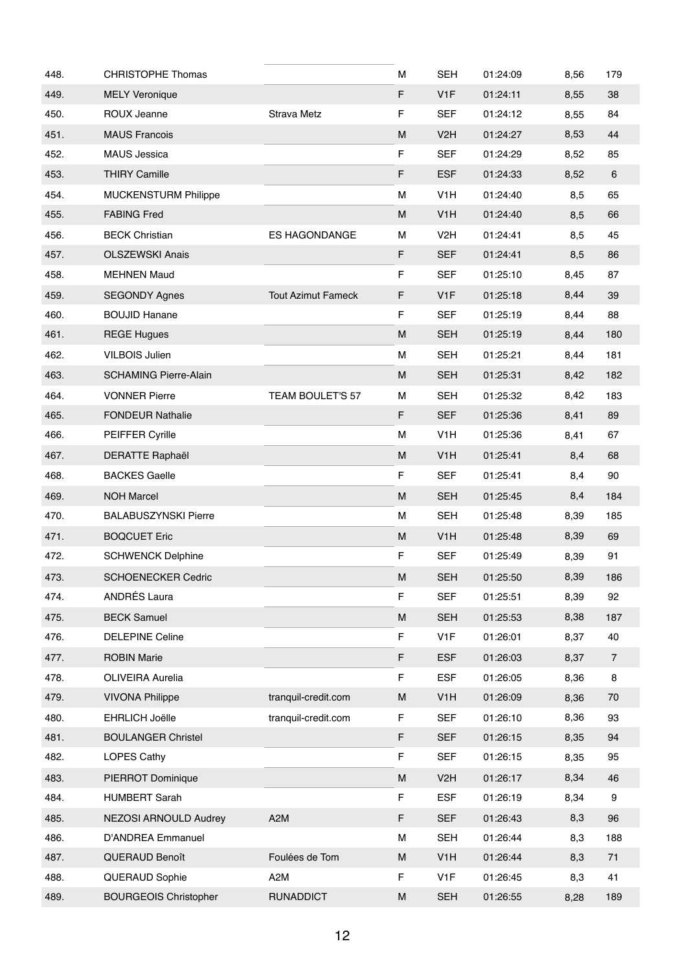| 448. | <b>CHRISTOPHE Thomas</b>     |                           | M | <b>SEH</b>       | 01:24:09 | 8,56 | 179            |
|------|------------------------------|---------------------------|---|------------------|----------|------|----------------|
| 449. | <b>MELY Veronique</b>        |                           | F | V <sub>1</sub> F | 01:24:11 | 8,55 | 38             |
| 450. | ROUX Jeanne                  | Strava Metz               | F | <b>SEF</b>       | 01:24:12 | 8,55 | 84             |
| 451. | <b>MAUS Francois</b>         |                           | M | V <sub>2</sub> H | 01:24:27 | 8,53 | 44             |
| 452. | <b>MAUS Jessica</b>          |                           | F | <b>SEF</b>       | 01:24:29 | 8,52 | 85             |
| 453. | <b>THIRY Camille</b>         |                           | F | <b>ESF</b>       | 01:24:33 | 8,52 | 6              |
| 454. | <b>MUCKENSTURM Philippe</b>  |                           | M | V <sub>1</sub> H | 01:24:40 | 8,5  | 65             |
| 455. | <b>FABING Fred</b>           |                           | M | V <sub>1</sub> H | 01:24:40 | 8,5  | 66             |
| 456. | <b>BECK Christian</b>        | <b>ES HAGONDANGE</b>      | М | V <sub>2</sub> H | 01:24:41 | 8,5  | 45             |
| 457. | <b>OLSZEWSKI Anais</b>       |                           | F | <b>SEF</b>       | 01:24:41 | 8,5  | 86             |
| 458. | <b>MEHNEN Maud</b>           |                           | F | <b>SEF</b>       | 01:25:10 | 8,45 | 87             |
| 459. | <b>SEGONDY Agnes</b>         | <b>Tout Azimut Fameck</b> | F | V <sub>1</sub> F | 01:25:18 | 8,44 | 39             |
| 460. | <b>BOUJID Hanane</b>         |                           | F | <b>SEF</b>       | 01:25:19 | 8,44 | 88             |
| 461. | <b>REGE Hugues</b>           |                           | M | <b>SEH</b>       | 01:25:19 | 8,44 | 180            |
| 462. | <b>VILBOIS Julien</b>        |                           | M | <b>SEH</b>       | 01:25:21 | 8,44 | 181            |
| 463. | <b>SCHAMING Pierre-Alain</b> |                           | М | <b>SEH</b>       | 01:25:31 | 8,42 | 182            |
| 464. | <b>VONNER Pierre</b>         | TEAM BOULET'S 57          | М | <b>SEH</b>       | 01:25:32 | 8,42 | 183            |
| 465. | <b>FONDEUR Nathalie</b>      |                           | F | <b>SEF</b>       | 01:25:36 | 8,41 | 89             |
| 466. | <b>PEIFFER Cyrille</b>       |                           | М | V <sub>1</sub> H | 01:25:36 | 8,41 | 67             |
| 467. | <b>DERATTE Raphaël</b>       |                           | M | V <sub>1</sub> H | 01:25:41 | 8,4  | 68             |
| 468. | <b>BACKES Gaelle</b>         |                           | F | <b>SEF</b>       | 01:25:41 | 8,4  | 90             |
| 469. | <b>NOH Marcel</b>            |                           | M | <b>SEH</b>       | 01:25:45 | 8,4  | 184            |
| 470. | <b>BALABUSZYNSKI Pierre</b>  |                           | М | <b>SEH</b>       | 01:25:48 | 8,39 | 185            |
| 471. | <b>BOQCUET Eric</b>          |                           | M | V <sub>1</sub> H | 01:25:48 | 8,39 | 69             |
| 472. | <b>SCHWENCK Delphine</b>     |                           | F | <b>SEF</b>       | 01:25:49 | 8,39 | 91             |
| 473. | <b>SCHOENECKER Cedric</b>    |                           | M | <b>SEH</b>       | 01:25:50 | 8,39 | 186            |
| 474. | <b>ANDRÉS Laura</b>          |                           | F | <b>SEF</b>       | 01:25:51 | 8,39 | 92             |
| 475. | <b>BECK Samuel</b>           |                           | M | <b>SEH</b>       | 01:25:53 | 8,38 | 187            |
| 476. | <b>DELEPINE Celine</b>       |                           | F | V <sub>1</sub> F | 01:26:01 | 8,37 | 40             |
| 477. | <b>ROBIN Marie</b>           |                           | F | <b>ESF</b>       | 01:26:03 | 8,37 | $\overline{7}$ |
| 478. | OLIVEIRA Aurelia             |                           | F | <b>ESF</b>       | 01:26:05 | 8,36 | 8              |
| 479. | <b>VIVONA Philippe</b>       | tranquil-credit.com       | M | V <sub>1</sub> H | 01:26:09 | 8,36 | $70\,$         |
| 480. | EHRLICH Joëlle               | tranquil-credit.com       | F | <b>SEF</b>       | 01:26:10 | 8,36 | 93             |
| 481. | <b>BOULANGER Christel</b>    |                           | F | <b>SEF</b>       | 01:26:15 | 8,35 | 94             |
| 482. | LOPES Cathy                  |                           | F | <b>SEF</b>       | 01:26:15 | 8,35 | 95             |
| 483. | PIERROT Dominique            |                           | M | V <sub>2</sub> H | 01:26:17 | 8,34 | 46             |
| 484. | <b>HUMBERT Sarah</b>         |                           | F | <b>ESF</b>       | 01:26:19 | 8,34 | 9              |
| 485. | NEZOSI ARNOULD Audrey        | A <sub>2</sub> M          | F | <b>SEF</b>       | 01:26:43 | 8,3  | 96             |
| 486. | <b>D'ANDREA Emmanuel</b>     |                           | М | <b>SEH</b>       | 01:26:44 | 8,3  | 188            |
| 487. | QUERAUD Benoît               | Foulées de Tom            | М | V <sub>1</sub> H | 01:26:44 | 8,3  | 71             |
| 488. | QUERAUD Sophie               | A2M                       | F | V <sub>1</sub> F | 01:26:45 | 8,3  | 41             |
| 489. | <b>BOURGEOIS Christopher</b> | <b>RUNADDICT</b>          | M | <b>SEH</b>       | 01:26:55 | 8,28 | 189            |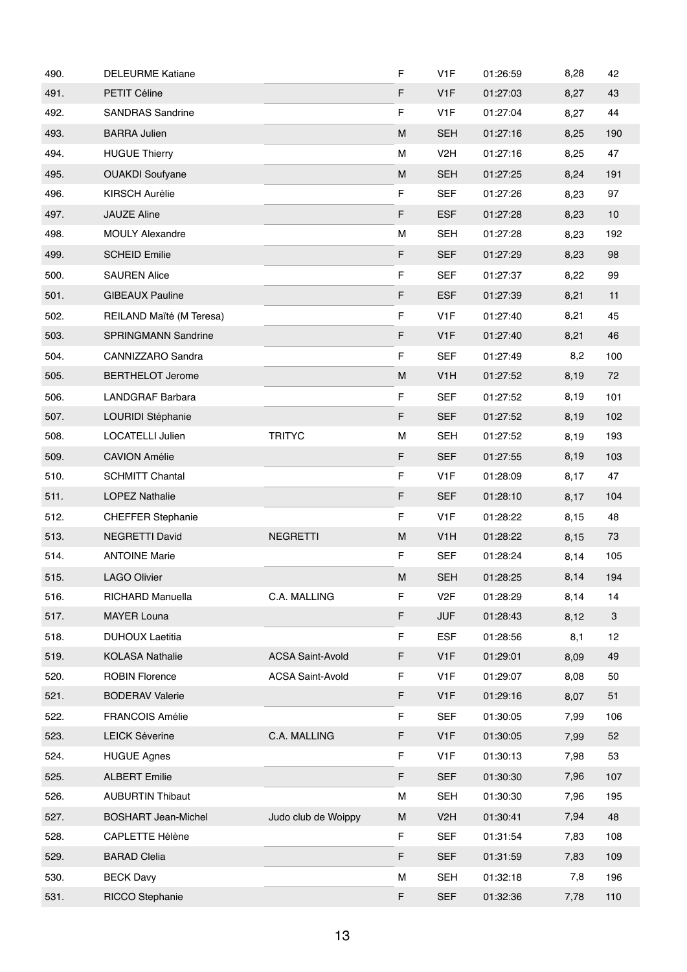| 490. | <b>DELEURME Katiane</b>    |                         | F           | V <sub>1</sub> F | 01:26:59 | 8,28 | 42                        |
|------|----------------------------|-------------------------|-------------|------------------|----------|------|---------------------------|
| 491. | PETIT Céline               |                         | F           | V <sub>1</sub> F | 01:27:03 | 8,27 | 43                        |
| 492. | <b>SANDRAS Sandrine</b>    |                         | F           | V <sub>1</sub> F | 01:27:04 | 8,27 | 44                        |
| 493. | <b>BARRA Julien</b>        |                         | ${\sf M}$   | <b>SEH</b>       | 01:27:16 | 8,25 | 190                       |
| 494. | <b>HUGUE Thierry</b>       |                         | м           | V <sub>2</sub> H | 01:27:16 | 8,25 | 47                        |
| 495. | <b>OUAKDI</b> Soufyane     |                         | M           | <b>SEH</b>       | 01:27:25 | 8,24 | 191                       |
| 496. | <b>KIRSCH Aurélie</b>      |                         | F           | <b>SEF</b>       | 01:27:26 | 8,23 | 97                        |
| 497. | JAUZE Aline                |                         | F           | <b>ESF</b>       | 01:27:28 | 8,23 | 10                        |
| 498. | <b>MOULY Alexandre</b>     |                         | М           | <b>SEH</b>       | 01:27:28 | 8,23 | 192                       |
| 499. | <b>SCHEID Emilie</b>       |                         | F           | <b>SEF</b>       | 01:27:29 | 8,23 | 98                        |
| 500. | <b>SAUREN Alice</b>        |                         | F           | <b>SEF</b>       | 01:27:37 | 8,22 | 99                        |
| 501. | <b>GIBEAUX Pauline</b>     |                         | F           | <b>ESF</b>       | 01:27:39 | 8,21 | 11                        |
| 502. | REILAND Maïté (M Teresa)   |                         | F           | V <sub>1</sub> F | 01:27:40 | 8,21 | 45                        |
| 503. | SPRINGMANN Sandrine        |                         | F           | V <sub>1</sub> F | 01:27:40 | 8,21 | 46                        |
| 504. | CANNIZZARO Sandra          |                         | F           | <b>SEF</b>       | 01:27:49 | 8,2  | 100                       |
| 505. | <b>BERTHELOT Jerome</b>    |                         | ${\sf M}$   | V <sub>1</sub> H | 01:27:52 | 8,19 | 72                        |
| 506. | LANDGRAF Barbara           |                         | $\mathsf F$ | <b>SEF</b>       | 01:27:52 | 8,19 | 101                       |
| 507. | LOURIDI Stéphanie          |                         | F           | <b>SEF</b>       | 01:27:52 | 8,19 | 102                       |
| 508. | LOCATELLI Julien           | <b>TRITYC</b>           | M           | <b>SEH</b>       | 01:27:52 | 8,19 | 193                       |
| 509. | <b>CAVION Amélie</b>       |                         | F           | <b>SEF</b>       | 01:27:55 | 8,19 | 103                       |
| 510. | <b>SCHMITT Chantal</b>     |                         | F           | V <sub>1</sub> F | 01:28:09 | 8,17 | 47                        |
| 511. | <b>LOPEZ Nathalie</b>      |                         | F           | <b>SEF</b>       | 01:28:10 | 8,17 | 104                       |
| 512. | <b>CHEFFER Stephanie</b>   |                         | F           | V <sub>1</sub> F | 01:28:22 | 8,15 | 48                        |
| 513. | <b>NEGRETTI David</b>      | <b>NEGRETTI</b>         | ${\sf M}$   | V <sub>1</sub> H | 01:28:22 | 8,15 | 73                        |
| 514. | <b>ANTOINE Marie</b>       |                         | F           | SEF              | 01:28:24 | 8,14 | 105                       |
| 515. | <b>LAGO Olivier</b>        |                         | M           | <b>SEH</b>       | 01:28:25 | 8,14 | 194                       |
| 516. | RICHARD Manuella           | C.A. MALLING            | F           | V <sub>2</sub> F | 01:28:29 | 8,14 | 14                        |
| 517. | <b>MAYER Louna</b>         |                         | F           | <b>JUF</b>       | 01:28:43 | 8,12 | $\ensuremath{\mathsf{3}}$ |
| 518. | <b>DUHOUX Laetitia</b>     |                         | F           | <b>ESF</b>       | 01:28:56 | 8,1  | 12                        |
| 519. | <b>KOLASA Nathalie</b>     | <b>ACSA Saint-Avold</b> | F           | V <sub>1</sub> F | 01:29:01 | 8,09 | 49                        |
| 520. | <b>ROBIN Florence</b>      | <b>ACSA Saint-Avold</b> | F           | V <sub>1</sub> F | 01:29:07 | 8,08 | 50                        |
| 521. | <b>BODERAV Valerie</b>     |                         | F           | V <sub>1</sub> F | 01:29:16 | 8,07 | 51                        |
| 522. | <b>FRANCOIS Amélie</b>     |                         | F           | <b>SEF</b>       | 01:30:05 | 7,99 | 106                       |
| 523. | <b>LEICK Séverine</b>      | C.A. MALLING            | F           | V <sub>1</sub> F | 01:30:05 | 7,99 | 52                        |
| 524. | <b>HUGUE Agnes</b>         |                         | $\mathsf F$ | V <sub>1</sub> F | 01:30:13 | 7,98 | 53                        |
| 525. | <b>ALBERT Emilie</b>       |                         | F           | <b>SEF</b>       | 01:30:30 | 7,96 | 107                       |
| 526. | <b>AUBURTIN Thibaut</b>    |                         | М           | <b>SEH</b>       | 01:30:30 | 7,96 | 195                       |
| 527. | <b>BOSHART Jean-Michel</b> | Judo club de Woippy     | M           | V <sub>2</sub> H | 01:30:41 | 7,94 | 48                        |
| 528. | CAPLETTE Hélène            |                         | F           | <b>SEF</b>       | 01:31:54 | 7,83 | 108                       |
| 529. | <b>BARAD Clelia</b>        |                         | F           | <b>SEF</b>       | 01:31:59 | 7,83 | 109                       |
| 530. | <b>BECK Davy</b>           |                         | м           | <b>SEH</b>       | 01:32:18 | 7,8  | 196                       |
| 531. | RICCO Stephanie            |                         | F           | <b>SEF</b>       | 01:32:36 | 7,78 | 110                       |